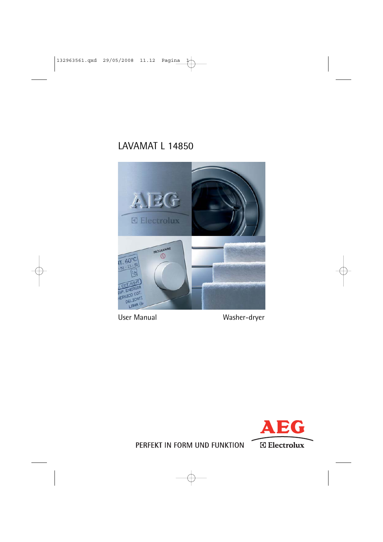## LAVAMAT L 14850



User Manual Washer-dryer



PERFEKT IN FORM UND FUNKTION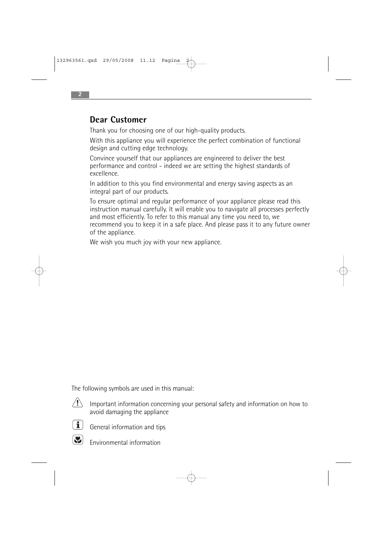### **Dear Customer**

Thank you for choosing one of our high-quality products.

With this appliance you will experience the perfect combination of functional design and cutting edge technology.

Convince yourself that our appliances are engineered to deliver the best performance and control - indeed we are setting the highest standards of excellence.

In addition to this you find environmental and energy saving aspects as an integral part of our products.

To ensure optimal and regular performance of your appliance please read this instruction manual carefully. It will enable you to navigate all processes perfectly and most efficiently. To refer to this manual any time you need to, we recommend you to keep it in a safe place. And please pass it to any future owner of the appliance.

We wish you much joy with your new appliance.

The following symbols are used in this manual:



Important information concerning your personal safety and information on how to avoid damaging the appliance



General information and tips



Environmental information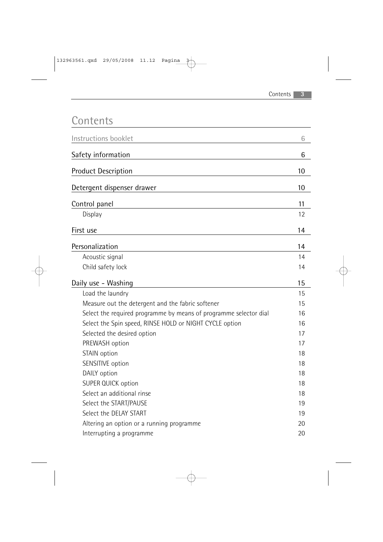|  | r i I | U. | Π |  |
|--|-------|----|---|--|
|--|-------|----|---|--|

| Instructions booklet                                              | 6  |
|-------------------------------------------------------------------|----|
| Safety information                                                | 6  |
| <b>Product Description</b>                                        | 10 |
| Detergent dispenser drawer                                        | 10 |
| Control panel                                                     | 11 |
| Display                                                           | 12 |
| First use                                                         | 14 |
| Personalization                                                   | 14 |
| Acoustic signal                                                   | 14 |
| Child safety lock                                                 | 14 |
| Daily use - Washing                                               | 15 |
| Load the laundry                                                  | 15 |
| Measure out the detergent and the fabric softener                 | 15 |
| Select the required programme by means of programme selector dial | 16 |
| Select the Spin speed, RINSE HOLD or NIGHT CYCLE option           | 16 |
| Selected the desired option                                       | 17 |
| PREWASH option                                                    | 17 |
| STAIN option                                                      | 18 |
| SENSITIVE option                                                  | 18 |
| DAILY option                                                      | 18 |
| <b>SUPER QUICK option</b>                                         | 18 |
| Select an additional rinse                                        | 18 |
| Select the START/PAUSE                                            | 19 |
| Select the DELAY START                                            | 19 |
| Altering an option or a running programme                         | 20 |
| Interrupting a programme                                          | 20 |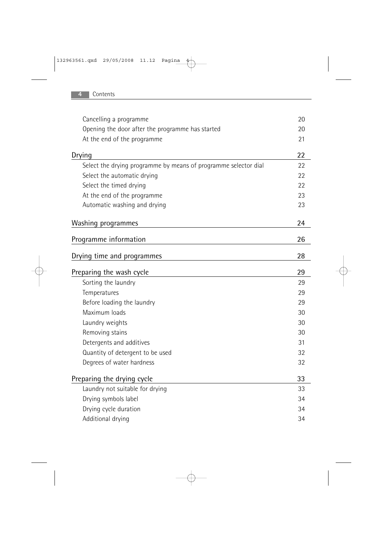| Cancelling a programme                                          | 20 |
|-----------------------------------------------------------------|----|
| Opening the door after the programme has started                | 20 |
| At the end of the programme                                     | 21 |
| Drying                                                          | 22 |
| Select the drying programme by means of programme selector dial | 22 |
| Select the automatic drying                                     | 22 |
| Select the timed drying                                         | 22 |
| At the end of the programme                                     | 23 |
| Automatic washing and drying                                    | 23 |
|                                                                 |    |
| Washing programmes                                              | 24 |
| Programme information                                           | 26 |
| Drying time and programmes                                      | 28 |
|                                                                 |    |
| Preparing the wash cycle                                        | 29 |
| Sorting the laundry                                             | 29 |
| Temperatures                                                    | 29 |
| Before loading the laundry                                      | 29 |
| Maximum loads                                                   | 30 |
| Laundry weights                                                 | 30 |
| Removing stains                                                 | 30 |
| Detergents and additives                                        | 31 |
| Quantity of detergent to be used                                | 32 |
| Degrees of water hardness                                       | 32 |
| Preparing the drying cycle                                      | 33 |
| Laundry not suitable for drying                                 | 33 |
| Drying symbols label                                            | 34 |
| Drying cycle duration                                           | 34 |
| Additional drying                                               | 34 |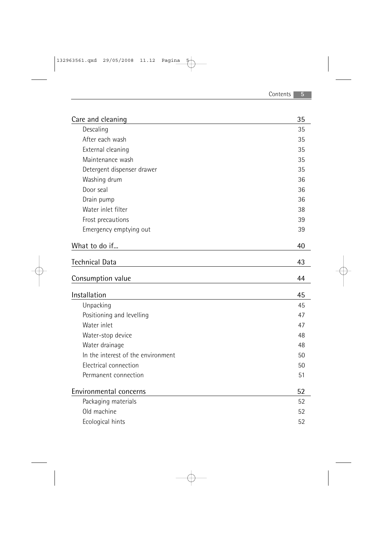| Care and cleaning                  | 35 |
|------------------------------------|----|
| Descaling                          | 35 |
| After each wash                    | 35 |
| External cleaning                  | 35 |
| Maintenance wash                   | 35 |
| Detergent dispenser drawer         | 35 |
| Washing drum                       | 36 |
| Door seal                          | 36 |
| Drain pump                         | 36 |
| Water inlet filter                 | 38 |
| Frost precautions                  | 39 |
| Emergency emptying out             | 39 |
| What to do if                      | 40 |
| <b>Technical Data</b>              | 43 |
|                                    |    |
|                                    |    |
| Consumption value                  | 44 |
| Installation                       | 45 |
| Unpacking                          | 45 |
| Positioning and levelling          | 47 |
| Water inlet                        | 47 |
| Water-stop device                  | 48 |
| Water drainage                     | 48 |
| In the interest of the environment | 50 |
| Electrical connection              | 50 |
| Permanent connection               | 51 |
| Environmental concerns             | 52 |
| Packaging materials                | 52 |
| Old machine                        | 52 |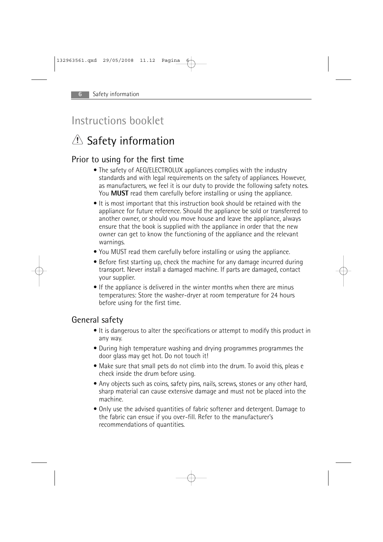## Instructions booklet

## $\triangle$  Safety information

## Prior to using for the first time

- The safety of AEG/ELECTROLUX appliances complies with the industry standards and with legal requirements on the safety of appliances. However, as manufacturers, we feel it is our duty to provide the following safety notes. You **MUST** read them carefully before installing or using the appliance.
- It is most important that this instruction book should be retained with the appliance for future reference. Should the appliance be sold or transferred to another owner, or should you move house and leave the appliance, always ensure that the book is supplied with the appliance in order that the new owner can get to know the functioning of the appliance and the relevant warnings.
- You MUST read them carefully before installing or using the appliance.
- Before first starting up, check the machine for any damage incurred during transport. Never install a damaged machine. If parts are damaged, contact your supplier.
- If the appliance is delivered in the winter months when there are minus temperatures: Store the washer-dryer at room temperature for 24 hours before using for the first time.

### General safety

- It is dangerous to alter the specifications or attempt to modify this product in any way.
- During high temperature washing and drying programmes programmes the door glass may get hot. Do not touch it!
- Make sure that small pets do not climb into the drum. To avoid this, pleas e check inside the drum before using.
- Any objects such as coins, safety pins, nails, screws, stones or any other hard, sharp material can cause extensive damage and must not be placed into the machine.
- Only use the advised quantities of fabric softener and detergent. Damage to the fabric can ensue if you over-fill. Refer to the manufacturer's recommendations of quantities.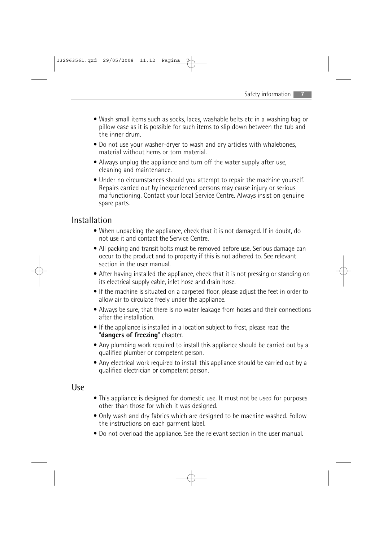- Wash small items such as socks, laces, washable belts etc in a washing bag or pillow case as it is possible for such items to slip down between the tub and the inner drum.
- Do not use your washer-dryer to wash and dry articles with whalebones, material without hems or torn material.
- Always unplug the appliance and turn off the water supply after use, cleaning and maintenance.
- Under no circumstances should you attempt to repair the machine yourself. Repairs carried out by inexperienced persons may cause injury or serious malfunctioning. Contact your local Service Centre. Always insist on genuine spare parts.

### Installation

- When unpacking the appliance, check that it is not damaged. If in doubt, do not use it and contact the Service Centre.
- All packing and transit bolts must be removed before use. Serious damage can occur to the product and to property if this is not adhered to. See relevant section in the user manual.
- After having installed the appliance, check that it is not pressing or standing on its electrical supply cable, inlet hose and drain hose.
- If the machine is situated on a carpeted floor, please adjust the feet in order to allow air to circulate freely under the appliance.
- Always be sure, that there is no water leakage from hoses and their connections after the installation.
- If the appliance is installed in a location subject to frost, please read the "**dangers of freezing**" chapter.
- Any plumbing work required to install this appliance should be carried out by a qualified plumber or competent person.
- Any electrical work required to install this appliance should be carried out by a qualified electrician or competent person.

### Use

- This appliance is designed for domestic use. It must not be used for purposes other than those for which it was designed.
- Only wash and dry fabrics which are designed to be machine washed. Follow the instructions on each garment label.
- Do not overload the appliance. See the relevant section in the user manual.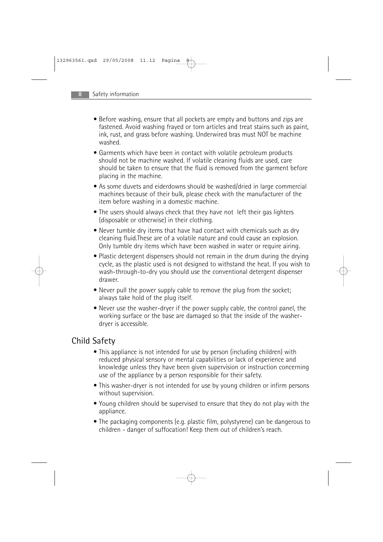- Before washing, ensure that all pockets are empty and buttons and zips are fastened. Avoid washing frayed or torn articles and treat stains such as paint, ink, rust, and grass before washing. Underwired bras must NOT be machine washed.
- Garments which have been in contact with volatile petroleum products should not be machine washed. If volatile cleaning fluids are used, care should be taken to ensure that the fluid is removed from the garment before placing in the machine.
- As some duvets and eiderdowns should be washed/dried in large commercial machines because of their bulk, please check with the manufacturer of the item before washing in a domestic machine.
- The users should always check that they have not left their gas lighters (disposable or otherwise) in their clothing.
- Never tumble dry items that have had contact with chemicals such as dry cleaning fluid.These are of a volatile nature and could cause an explosion. Only tumble dry items which have been washed in water or require airing.
- Plastic detergent dispensers should not remain in the drum during the drying cycle, as the plastic used is not designed to withstand the heat. If you wish to wash-through-to-dry you should use the conventional detergent dispenser drawer.
- Never pull the power supply cable to remove the plug from the socket; always take hold of the plug itself.
- Never use the washer-dryer if the power supply cable, the control panel, the working surface or the base are damaged so that the inside of the washerdryer is accessible.

## Child Safety

- This appliance is not intended for use by person (including children) with reduced physical sensory or mental capabilities or lack of experience and knowledge unless they have been given supervision or instruction concerning use of the appliance by a person responsible for their safety.
- This washer-dryer is not intended for use by young children or infirm persons without supervision.
- Young children should be supervised to ensure that they do not play with the appliance.
- The packaging components (e.g. plastic film, polystyrene) can be dangerous to children - danger of suffocation! Keep them out of children's reach.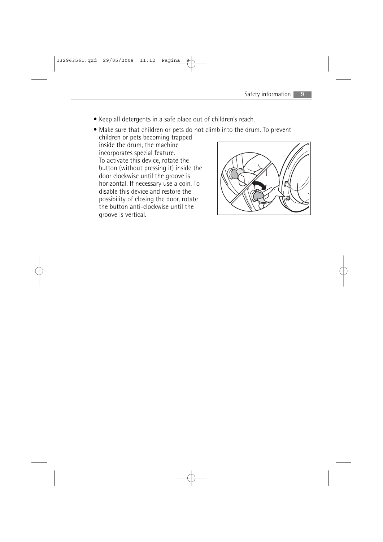- Keep all detergents in a safe place out of children's reach.
- Make sure that children or pets do not climb into the drum. To prevent children or pets becoming trapped

inside the drum, the machine incorporates special feature. To activate this device, rotate the button (without pressing it) inside the door clockwise until the groove is horizontal. If necessary use a coin. To disable this device and restore the possibility of closing the door, rotate the button anti-clockwise until the groove is vertical.

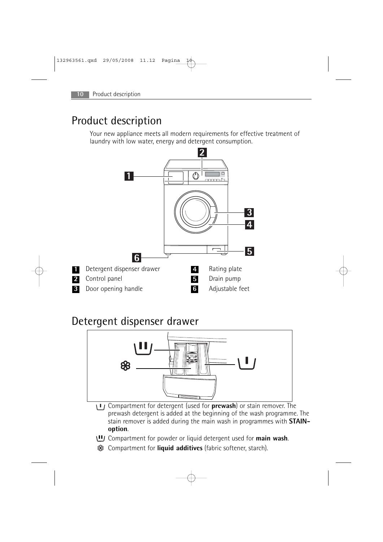**1 2 3**

## Product description

Your new appliance meets all modern requirements for effective treatment of laundry with low water, energy and detergent consumption.



## Detergent dispenser drawer



- Compartment for detergent (used for **prewash**) or stain remover. The prewash detergent is added at the beginning of the wash programme. The stain remover is added during the main wash in programmes with **STAINoption**.
- Compartment for powder or liquid detergent used for **main wash**.
- Compartment for **liquid additives** (fabric softener, starch).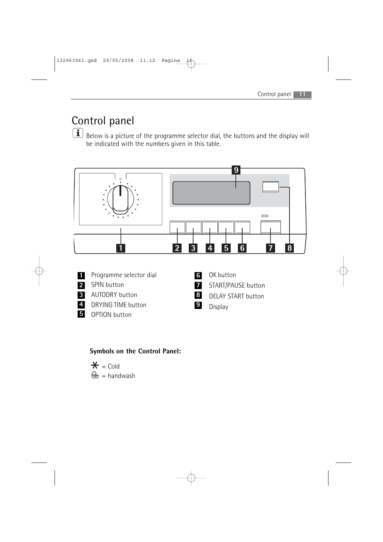## Control panel

 $\boxed{\mathbf{i}}$  Below is a picture of the programme selector dial, the buttons and the display will be indicated with the numbers given in this table.



- Programme selector dial **1**
- SPIN button **2**
	- AUTODRY button **3**
- DRYING TIME button **4**
- 5 OPTION button
- OK button **6**
- START/PAUSE button **7**
- DELAY START button **8**
- Display **9**

### **Symbols on the Control Panel:**

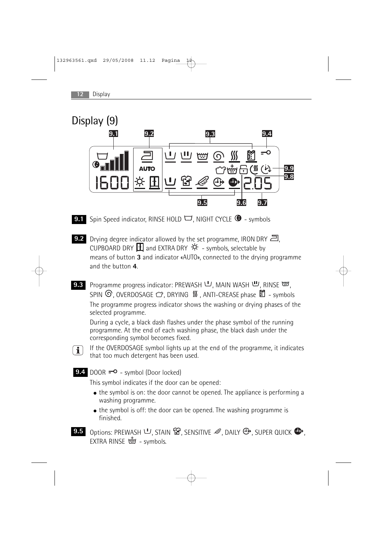

- **9.1** Spin Speed indicator, RINSE HOLD  $\Box$ , NIGHT CYCLE  $\bullet$  symbols
- **9.2** Drying degree indicator allowed by the set programme, IRON DRY 2, CUPBOARD DRY  $\mathbf \Xi$  and EXTRA DRY  $\mathbf \ddot{\mathbf x}$  - symbols, selectable by means of button **3** and indicator «AUTO», connected to the drying programme and the button **4**.
- Programme progress indicator: PREWASH  $\bigcup$ , MAIN WASH  $\bigcup$ , RINSE  $\bigoplus$ , SPIN  $\odot$ , OVERDOSAGE  $\circledcirc$ , DRYING  $\mathsf{W}$ , ANTI-CREASE phase  $\mathsf{E}$  - symbols The programme progress indicator shows the washing or drying phases of the selected programme. **9.3**

During a cycle, a black dash flashes under the phase symbol of the running programme. At the end of each washing phase, the black dash under the corresponding symbol becomes fixed.

If the OVERDOSAGE symbol lights up at the end of the programme, it indicates that too much detergent has been used.

9.4 DOOR  $=$ <sup>o</sup> - symbol (Door locked)

 $\boxed{\mathbf{i}}$ 

This symbol indicates if the door can be opened:

- the symbol is on: the door cannot be opened. The appliance is performing a washing programme.
- the symbol is off: the door can be opened. The washing programme is finished.
- Options: PREWASH  $\Psi$ , STAIN  $\mathbb{G}$ , SENSITIVE  $\mathscr{Q}$ , DAILY  $\mathbb{G}$ , SUPER QUICK  $\mathbb{O}$ , EXTRA RINSE  $\frac{1}{2}$  - symbols. **9.5**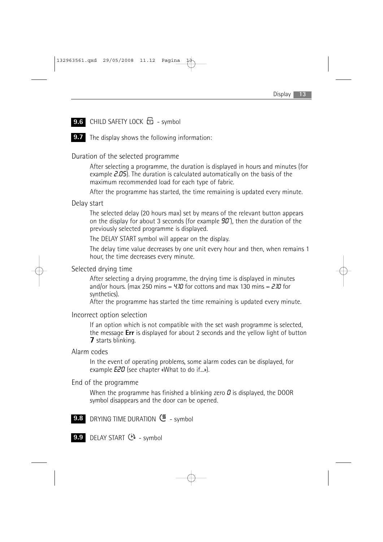### **9.6** CHILD SAFETY LOCK  $\overline{D}$  - symbol

**9.7** The display shows the following information:

#### Duration of the selected programme

After selecting a programme, the duration is displayed in hours and minutes (for example  $2.05$ ). The duration is calculated automatically on the basis of the maximum recommended load for each type of fabric.

After the programme has started, the time remaining is updated every minute.

#### Delay start

The selected delay (20 hours max) set by means of the relevant button appears on the display for about 3 seconds (for example  $90'$ ), then the duration of the previously selected programme is displayed.

The DELAY START symbol will appear on the display.

The delay time value decreases by one unit every hour and then, when remains 1 hour, the time decreases every minute.

#### Selected drying time

After selecting a drying programme, the drying time is displayed in minutes and/or hours. (max 250 mins =  $4.10$  for cottons and max 130 mins =  $2.10$  for synthetics).

After the programme has started the time remaining is updated every minute.

Incorrect option selection

If an option which is not compatible with the set wash programme is selected, the message **Err** is displayed for about 2 seconds and the yellow light of button **7** starts blinking.

#### Alarm codes

In the event of operating problems, some alarm codes can be displayed, for example **E20** (see chapter «What to do if...»).

#### End of the programme

When the programme has finished a blinking zero  $\vec{U}$  is displayed, the DOOR symbol disappears and the door can be opened.

- DRYING TIME DURATION  $\frac{dN}{dx}$  symbol **9.8**
- **9.9** DELAY START  $\ddot{\theta}$  symbol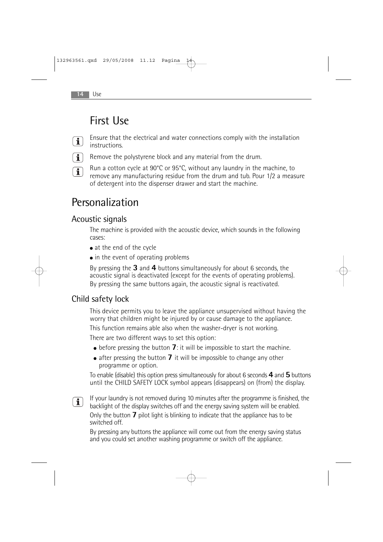## First Use

- Ensure that the electrical and water connections comply with the installation  $\boxed{\mathbf{i}}$ instructions.
- $\boxed{\mathbf{i}}$ Remove the polystyrene block and any material from the drum.
- Run a cotton cycle at 90°C or 95°C, without any laundry in the machine, to  $\boxed{\mathbf{i}}$ remove any manufacturing residue from the drum and tub. Pour 1/2 a measure of detergent into the dispenser drawer and start the machine.

## Personalization

## Acoustic signals

The machine is provided with the acoustic device, which sounds in the following cases:

- at the end of the cycle
- in the event of operating problems

By pressing the **3** and **4** buttons simultaneously for about 6 seconds, the acoustic signal is deactivated (except for the events of operating problems). By pressing the same buttons again, the acoustic signal is reactivated.

## Child safety lock

This device permits you to leave the appliance unsupervised without having the worry that children might be injured by or cause damage to the appliance.

This function remains able also when the washer-dryer is not working.

There are two different ways to set this option:

- before pressing the button **7**: it will be impossible to start the machine.
- after pressing the button **7** it will be impossible to change any other programme or option.

To enable (disable) this option press simultaneously for about 6 seconds **4** and **5** buttons until the CHILD SAFETY LOCK symbol appears (disappears) on (from) the display.

If your laundry is not removed during 10 minutes after the programme is finished, the  $\boxed{\mathbf{i}}$ backlight of the display switches off and the energy saving system will be enabled. Only the button **7** pilot light is blinking to indicate that the appliance has to be switched off.

By pressing any buttons the appliance will come out from the energy saving status and you could set another washing programme or switch off the appliance.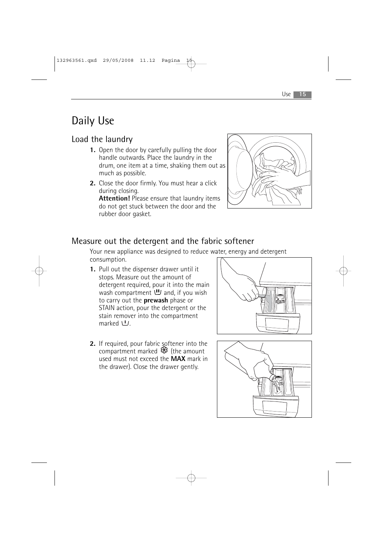# Daily Use

## Load the laundry

- **1.** Open the door by carefully pulling the door handle outwards. Place the laundry in the drum, one item at a time, shaking them out as much as possible.
- **2.** Close the door firmly. You must hear a click during closing.

**Attention!** Please ensure that laundry items do not get stuck between the door and the rubber door gasket.



### Measure out the detergent and the fabric softener

Your new appliance was designed to reduce water, energy and detergent consumption.

- **1.** Pull out the dispenser drawer until it stops. Measure out the amount of detergent required, pour it into the main wash compartment  $\mathbf{U}$  and, if you wish to carry out the **prewash** phase or STAIN action, pour the detergent or the stain remover into the compartment marked  $U$ .
- 2. If required, pour fabric softener into the compartment marked  $\mathcal{B}$  (the amount used must not exceed the **MAX** mark in the drawer). Close the drawer gently.



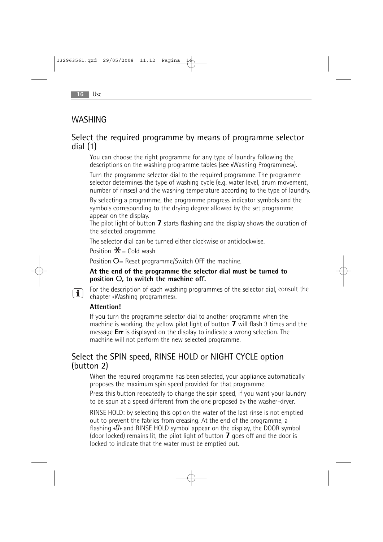### WASHING

### Select the required programme by means of programme selector dial (1)

You can choose the right programme for any type of laundry following the descriptions on the washing programme tables (see «Washing Programmes»).

Turn the programme selector dial to the required programme. The programme selector determines the type of washing cycle (e.g. water level, drum movement, number of rinses) and the washing temperature according to the type of laundry.

By selecting a programme, the programme progress indicator symbols and the symbols corresponding to the drying degree allowed by the set programme appear on the display.

The pilot light of button **7** starts flashing and the display shows the duration of the selected programme.

The selector dial can be turned either clockwise or anticlockwise.

Position  $\mathbf{\hat{X}}$  = Cold wash

Position O= Reset programme/Switch OFF the machine.

#### **At the end of the programme the selector dial must be turned to position** O**, to switch the machine off.**

For the description of each washing programmes of the selector dial, consult the chapter «Washing programmes».

#### **Attention!**

 $\boxed{\mathbf{i}}$ 

If you turn the programme selector dial to another programme when the machine is working, the yellow pilot light of button **7** will flash 3 times and the message **Err** is displayed on the display to indicate a wrong selection. The machine will not perform the new selected programme.

### Select the SPIN speed, RINSE HOLD or NIGHT CYCLE option (button 2)

When the required programme has been selected, your appliance automatically proposes the maximum spin speed provided for that programme.

Press this button repeatedly to change the spin speed, if you want your laundry to be spun at a speed different from the one proposed by the washer-dryer.

RINSE HOLD: by selecting this option the water of the last rinse is not emptied out to prevent the fabrics from creasing. At the end of the programme, a flashing  $\sqrt{a}$  and RINSE HOLD symbol appear on the display, the DOOR symbol (door locked) remains lit, the pilot light of button **7** goes off and the door is locked to indicate that the water must be emptied out.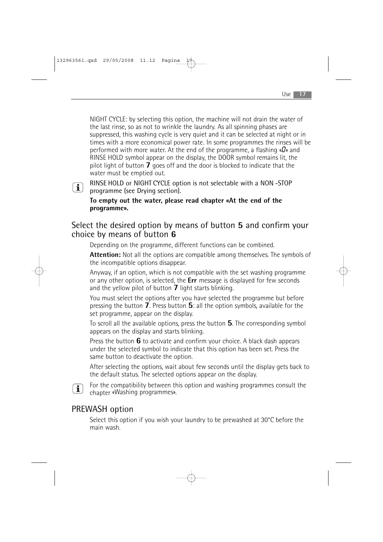NIGHT CYCLE: by selecting this option, the machine will not drain the water of the last rinse, so as not to wrinkle the laundry. As all spinning phases are suppressed, this washing cycle is very quiet and it can be selected at night or in times with a more economical power rate. In some programmes the rinses will be performed with more water. At the end of the programme, a flashing  $\alpha D$  and RINSE HOLD symbol appear on the display, the DOOR symbol remains lit, the pilot light of button **7** goes off and the door is blocked to indicate that the water must be emptied out.

## $\boxed{\mathbf{i}}$

RINSE HOLD or NIGHT CYCLE option is not selectable with a NON -STOP programme (see Drying section).

**To empty out the water, please read chapter «At the end of the programme».**

### Select the desired option by means of button **5** and confirm your choice by means of button **6**

Depending on the programme, different functions can be combined.

**Attention:** Not all the options are compatible among themselves. The symbols of the incompatible options disappear.

Anyway, if an option, which is not compatible with the set washing programme or any other option, is selected, the **Err** message is displayed for few seconds and the yellow pilot of button **7** light starts blinking.

You must select the options after you have selected the programme but before pressing the button **7**. Press button **5**: all the option symbols, available for the set programme, appear on the display.

To scroll all the available options, press the button **5**. The corresponding symbol appears on the display and starts blinking.

Press the button **6** to activate and confirm your choice. A black dash appears under the selected symbol to indicate that this option has been set. Press the same button to deactivate the option.

After selecting the options, wait about few seconds until the display gets back to the default status. The selected options appear on the display.



For the compatibility between this option and washing programmes consult the chapter «Washing programmes».

## PREWASH option

Select this option if you wish your laundry to be prewashed at 30°C before the main wash.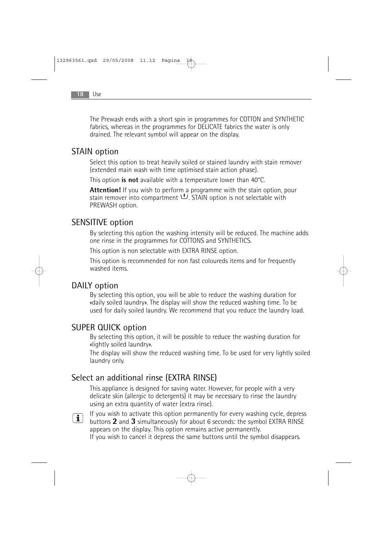The Prewash ends with a short spin in programmes for COTTON and SYNTHETIC fabrics, whereas in the programmes for DELICATE fabrics the water is only drained. The relevant symbol will appear on the display.

### STAIN option

Select this option to treat heavily soiled or stained laundry with stain remover (extended main wash with time optimised stain action phase).

This option **is not** available with a temperature lower than 40°C.

**Attention!** If you wish to perform a programme with the stain option, pour stain remover into compartment  $\Psi$ . STAIN option is not selectable with PREWASH option.

### SENSITIVE option

By selecting this option the washing intensity will be reduced. The machine adds one rinse in the programmes for COTTONS and SYNTHETICS.

This option is non selectable with EXTRA RINSE option.

This option is recommended for non fast coloureds items and for frequently washed items.

### DAILY option

By selecting this option, you will be able to reduce the washing duration for «daily soiled laundry». The display will show the reduced washing time. To be used for daily soiled laundry. We recommend that you reduce the laundry load.

### SUPER QUICK option

By selecting this option, it will be possible to reduce the washing duration for «lightly soiled laundry».

The display will show the reduced washing time. To be used for very lightly soiled laundry only.

### Select an additional rinse (EXTRA RINSE)

This appliance is designed for saving water. However, for people with a very delicate skin (allergic to detergents) it may be necessary to rinse the laundry using an extra quantity of water (extra rinse).

If you wish to activate this option permanently for every washing cycle, depress  $\mathbf{i}$ buttons **2** and **3** simultaneously for about 6 seconds: the symbol EXTRA RINSE appears on the display. This option remains active permanently.

If you wish to cancel it depress the same buttons until the symbol disappears.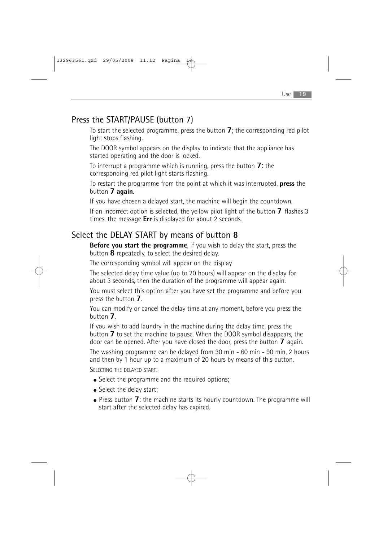## Press the START/PAUSE (button 7)

To start the selected programme, press the button **7**; the corresponding red pilot light stops flashing.

The DOOR symbol appears on the display to indicate that the appliance has started operating and the door is locked.

To interrupt a programme which is running, press the button **7**: the corresponding red pilot light starts flashing.

To restart the programme from the point at which it was interrupted, **press** the button **7 again**.

If you have chosen a delayed start, the machine will begin the countdown.

If an incorrect option is selected, the yellow pilot light of the button **7** flashes 3 times, the message **Err** is displayed for about 2 seconds.

## Select the DELAY START by means of button **8**

**Before you start the programme**, if you wish to delay the start, press the button **8** repeatedly, to select the desired delay.

The corresponding symbol will appear on the display

The selected delay time value (up to 20 hours) will appear on the display for about 3 seconds, then the duration of the programme will appear again.

You must select this option after you have set the programme and before you press the button **7**.

You can modify or cancel the delay time at any moment, before you press the button **7**.

If you wish to add laundry in the machine during the delay time, press the button **7** to set the machine to pause. When the DOOR symbol disappears, the door can be opened. After you have closed the door, press the button **7** again.

The washing programme can be delayed from 30 min - 60 min - 90 min, 2 hours and then by 1 hour up to a maximum of 20 hours by means of this button.

SELECTING THE DELAYED START:

- Select the programme and the required options;
- Select the delay start;
- Press button **7**: the machine starts its hourly countdown. The programme will start after the selected delay has expired.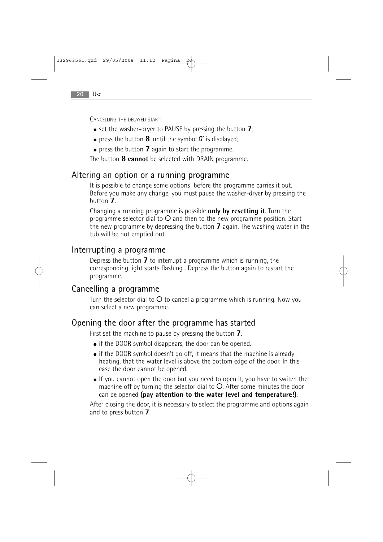CANCELLING THE DELAYED START'

- set the washer-dryer to PAUSE by pressing the button **7**;
- $\bullet$  press the button **8** until the symbol  $\vec{a}$  is displayed;
- press the button **7** again to start the programme.

The button **8 cannot** be selected with DRAIN programme.

### Altering an option or a running programme

It is possible to change some options before the programme carries it out. Before you make any change, you must pause the washer-dryer by pressing the button **7**.

Changing a running programme is possible **only by resetting it**. Turn the programme selector dial to O and then to the new programme position. Start the new programme by depressing the button **7** again. The washing water in the tub will be not emptied out.

### Interrupting a programme

Depress the button **7** to interrupt a programme which is running, the corresponding light starts flashing . Depress the button again to restart the programme.

### Cancelling a programme

Turn the selector dial to  $O$  to cancel a programme which is running. Now you can select a new programme.

### Opening the door after the programme has started

First set the machine to pause by pressing the button **7**.

- if the DOOR symbol disappears, the door can be opened.
- $\bullet$  if the DOOR symbol doesn't go off, it means that the machine is already heating, that the water level is above the bottom edge of the door. In this case the door cannot be opened.
- If you cannot open the door but you need to open it, you have to switch the machine off by turning the selector dial to O. After some minutes the door can be opened **(pay attention to the water level and temperature!)**.

After closing the door, it is necessary to select the programme and options again and to press button **7**.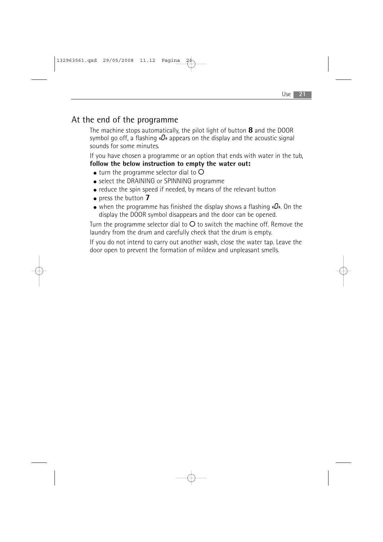### At the end of the programme

The machine stops automatically, the pilot light of button **8** and the DOOR symbol go off, a flashing « $\mathbf{0}$ » appears on the display and the acoustic signal sounds for some minutes.

If you have chosen a programme or an option that ends with water in the tub, **follow the below instruction to empty the water out:**

- $\bullet$  turn the programme selector dial to  $\bullet$
- select the DRAINING or SPINNING programme
- reduce the spin speed if needed, by means of the relevant button
- press the button **7**
- when the programme has finished the display shows a flashing  $\alpha D$ ». On the display the DOOR symbol disappears and the door can be opened.

Turn the programme selector dial to  $O$  to switch the machine off. Remove the laundry from the drum and carefully check that the drum is empty.

If you do not intend to carry out another wash, close the water tap. Leave the door open to prevent the formation of mildew and unpleasant smells.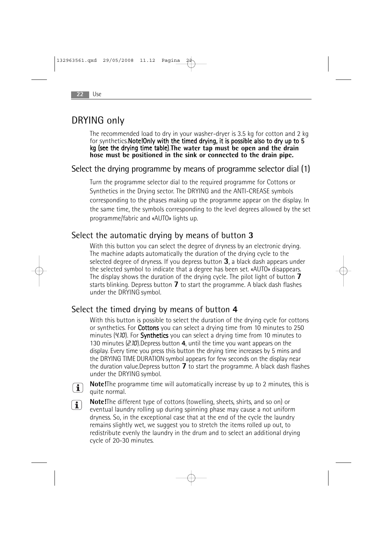## DRYING only

The recommended load to dry in your washer-dryer is 3.5 kg for cotton and 2 kg for synthetics. Note! Only with the timed drying, it is possible also to dry up to 5 kg (see the drying time table).**The water tap must be open and the drain hose must be positioned in the sink or connected to the drain pipe.**

### Select the drying programme by means of programme selector dial (1)

Turn the programme selector dial to the required programme for Cottons or Synthetics in the Drying sector. The DRYING and the ANTI-CREASE symbols corresponding to the phases making up the programme appear on the display. In the same time, the symbols corresponding to the level degrees allowed by the set programme/fabric and «AUTO» lights up.

### Select the automatic drying by means of button **3**

With this button you can select the degree of dryness by an electronic drying. The machine adapts automatically the duration of the drying cycle to the selected degree of dryness. If you depress button **3**, a black dash appears under the selected symbol to indicate that a degree has been set. «AUTO» disappears. The display shows the duration of the drying cycle. The pilot light of button **7** starts blinking. Depress button **7** to start the programme. A black dash flashes under the DRYING symbol.

### Select the timed drying by means of button **4**

With this button is possible to select the duration of the drying cycle for cottons or synthetics. For Cottons you can select a drying time from 10 minutes to 250 minutes (4.10). For **Synthetics** you can select a drying time from 10 minutes to 130 minutes (2.10).Depress button **4**, until the time you want appears on the display. Every time you press this button the drying time increases by 5 mins and the DRYING TIME DURATION symbol appears for few seconds on the display near the duration value.Depress button **7** to start the programme. A black dash flashes under the DRYING symbol.



**Note!**The programme time will automatically increase by up to 2 minutes, this is quite normal.

 $\boxed{\mathbf{i}}$ 

**Note!**The different type of cottons (towelling, sheets, shirts, and so on) or eventual laundry rolling up during spinning phase may cause a not uniform dryness. So, in the exceptional case that at the end of the cycle the laundry remains slightly wet, we suggest you to stretch the items rolled up out, to redistribute evenly the laundry in the drum and to select an additional drying cycle of 20-30 minutes.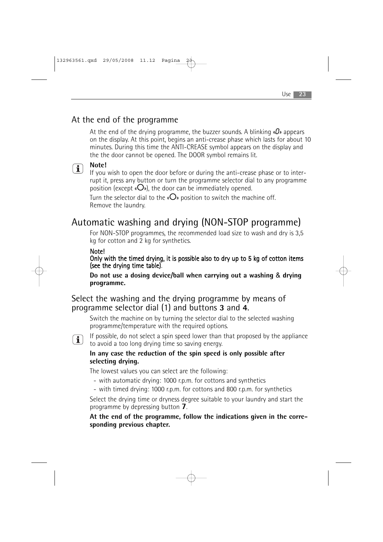### At the end of the programme

At the end of the drying programme, the buzzer sounds. A blinking  $\alpha \mathbf{D}$  appears on the display. At this point, begins an anti-crease phase which lasts for about 10 minutes. During this time the ANTI-CREASE symbol appears on the display and the the door cannot be opened. The DOOR symbol remains lit.

#### **Note!**  $\bigcap$

If you wish to open the door before or during the anti-crease phase or to interrupt it, press any button or turn the programme selector dial to any programme position (except  $\langle O \rangle$ ), the door can be immediately opened.

Turn the selector dial to the « $O$ » position to switch the machine off. Remove the laundry.

## Automatic washing and drying (NON-STOP programme)

For NON-STOP programmes, the recommended load size to wash and dry is 3,5 kg for cotton and 2 kg for synthetics.

### Note!

Only with the timed drying, it is possible also to dry up to 5 kg of cotton items (see the drying time table).

**Do not use a dosing device/ball when carrying out a washing** & **drying programme.**

### Select the washing and the drying programme by means of programme selector dial (1) and buttons **3** and **4**.

Switch the machine on by turning the selector dial to the selected washing programme/temperature with the required options.



If possible, do not select a spin speed lower than that proposed by the appliance to avoid a too long drying time so saving energy.

#### **In any case the reduction of the spin speed is only possible after selecting drying.**

The lowest values you can select are the following:

- with automatic drying: 1000 r.p.m. for cottons and synthetics
- with timed drying: 1000 r.p.m. for cottons and 800 r.p.m. for synthetics

Select the drying time or dryness degree suitable to your laundry and start the programme by depressing button **7**.

**At the end of the programme, follow the indications given in the corresponding previous chapter.**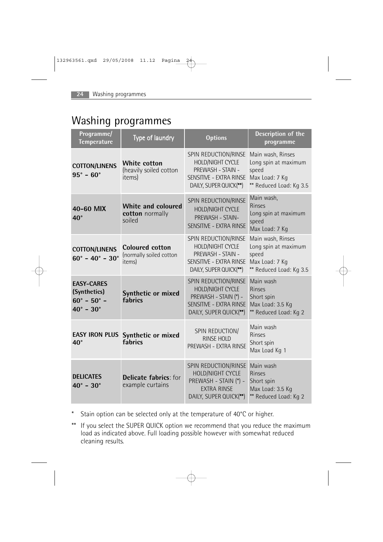## Washing programmes

| Programme/<br><b>Temperature</b>                                                                | Type of laundry                                             | <b>Options</b>                                                                                                         | <b>Description of the</b><br>programme                                                          |
|-------------------------------------------------------------------------------------------------|-------------------------------------------------------------|------------------------------------------------------------------------------------------------------------------------|-------------------------------------------------------------------------------------------------|
| <b>COTTON/LINENS</b><br>$95^{\circ} - 60^{\circ}$                                               | <b>White cotton</b><br>(heavily soiled cotton<br>items)     | SPIN REDUCTION/RINSE<br>HOLD/NIGHT CYCLE<br>PREWASH - STAIN -<br>SENSITIVE - EXTRA RINSE<br>DAILY, SUPER QUICK(**)     | Main wash, Rinses<br>Long spin at maximum<br>speed<br>Max Load: 7 Kg<br>** Reduced Load: Kg 3.5 |
| 40-60 MIX<br>$40^{\circ}$                                                                       | White and coloured<br>cotton normally<br>soiled             | SPIN REDUCTION/RINSE<br>HOLD/NIGHT CYCLE<br>PREWASH - STAIN-<br>SENSITIVE - EXTRA RINSE                                | Main wash,<br><b>Rinses</b><br>Long spin at maximum<br>speed<br>Max Load: 7 Kg                  |
| <b>COTTON/LINENS</b><br>$60^{\circ}$ - $40^{\circ}$ - $30^{\circ}$                              | <b>Coloured cotton</b><br>(normally soiled cotton<br>items) | SPIN REDUCTION/RINSE<br>HOLD/NIGHT CYCLE<br>PREWASH - STAIN -<br>SENSITIVE - EXTRA RINSE<br>DAILY, SUPER QUICK(**)     | Main wash, Rinses<br>Long spin at maximum<br>speed<br>Max Load: 7 Kg<br>** Reduced Load: Kg 3.5 |
| <b>EASY-CARES</b><br>(Synthetics)<br>$60^{\circ}$ - $50^{\circ}$ -<br>$40^{\circ} - 30^{\circ}$ | Synthetic or mixed<br>fabrics                               | SPIN REDUCTION/RINSE<br>HOLD/NIGHT CYCLE<br>PREWASH - STAIN (*) -<br>SENSITIVE - EXTRA RINSE<br>DAILY, SUPER QUICK(**) | Main wash<br><b>Rinses</b><br>Short spin<br>Max Load: 3.5 Kg<br>** Reduced Load: Kg 2           |
| <b>EASY IRON PLUS</b><br>$40^{\circ}$                                                           | Synthetic or mixed<br>fabrics                               | SPIN REDUCTION/<br><b>RINSE HOLD</b><br>PREWASH - EXTRA RINSE                                                          | Main wash<br>Rinses<br>Short spin<br>Max Load Kg 1                                              |
| <b>DELICATES</b><br>$40^{\circ} - 30^{\circ}$                                                   | <b>Delicate fabrics:</b> for<br>example curtains            | SPIN REDUCTION/RINSE<br>HOLD/NIGHT CYCLE<br>PREWASH - STAIN (*) -<br><b>EXTRA RINSE</b><br>DAILY, SUPER QUICK(**)      | Main wash<br><b>Rinses</b><br>Short spin<br>Max Load: 3.5 Kg<br>** Reduced Load: Kg 2           |

- \* Stain option can be selected only at the temperature of 40°C or higher.
- \*\* If you select the SUPER QUICK option we recommend that you reduce the maximum load as indicated above. Full loading possible however with somewhat reduced cleaning results.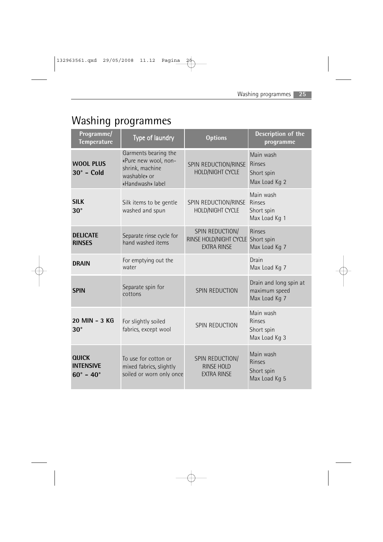# Washing programmes

| Programme/<br><b>Temperature</b>                              | Type of laundry                                                                                     | <b>Options</b>                                                  | Description of the<br>programme                           |
|---------------------------------------------------------------|-----------------------------------------------------------------------------------------------------|-----------------------------------------------------------------|-----------------------------------------------------------|
| <b>WOOL PLUS</b><br>$30^\circ$ - Cold                         | Garments bearing the<br>«Pure new wool, non-<br>shrink, machine<br>washable» or<br>«Handwash» label | SPIN REDUCTION/RINSE<br><b>HOLD/NIGHT CYCLE</b>                 | Main wash<br><b>Rinses</b><br>Short spin<br>Max Load Kg 2 |
| <b>SILK</b><br>$30^\circ$                                     | Silk items to be gentle<br>washed and spun                                                          | SPIN REDUCTION/RINSE<br>HOLD/NIGHT CYCLE                        | Main wash<br><b>Rinses</b><br>Short spin<br>Max Load Kg 1 |
| <b>DELICATE</b><br><b>RINSES</b>                              | Separate rinse cycle for<br>hand washed items                                                       | SPIN REDUCTION/<br>RINSE HOLD/NIGHT CYCLE<br><b>EXTRA RINSE</b> | <b>Rinses</b><br>Short spin<br>Max Load Kg 7              |
| <b>DRAIN</b>                                                  | For emptying out the<br>water                                                                       |                                                                 | Drain<br>Max Load Kg 7                                    |
| <b>SPIN</b>                                                   | Separate spin for<br>cottons                                                                        | <b>SPIN REDUCTION</b>                                           | Drain and long spin at<br>maximum speed<br>Max Load Kg 7  |
| 20 MIN - 3 KG<br>$30^\circ$                                   | For slightly soiled<br>fabrics, except wool                                                         | SPIN REDUCTION                                                  | Main wash<br><b>Rinses</b><br>Short spin<br>Max Load Kg 3 |
| <b>QUICK</b><br><b>INTENSIVE</b><br>$60^{\circ} - 40^{\circ}$ | To use for cotton or<br>mixed fabrics, slightly<br>soiled or worn only once                         | SPIN REDUCTION/<br>RINSE HOLD<br><b>FXTRA RINSF</b>             | Main wash<br><b>Rinses</b><br>Short spin<br>Max Load Kg 5 |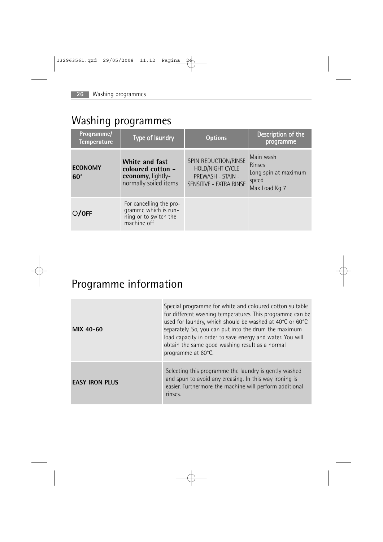## Washing programmes

| Programme/<br><b>Temperature</b> | Type of laundry                                                                          | <b>Options</b>                                                                           | Description of the<br>programme                                       |
|----------------------------------|------------------------------------------------------------------------------------------|------------------------------------------------------------------------------------------|-----------------------------------------------------------------------|
| <b>ECONOMY</b><br>$60^\circ$     | <b>White and fast</b><br>coloured cotton -<br>economy, lightly-<br>normally soiled items | SPIN REDUCTION/RINSE<br>HOLD/NIGHT CYCLE<br>PREWASH - STAIN -<br>SENSITIVE - EXTRA RINSE | Main wash<br>Rinses<br>Long spin at maximum<br>speed<br>Max Load Kg 7 |
| O/OFF                            | For cancelling the pro-<br>gramme which is run-<br>ning or to switch the<br>machine off  |                                                                                          |                                                                       |

# Programme information

| MIX 40-60             | Special programme for white and coloured cotton suitable<br>for different washing temperatures. This programme can be<br>used for laundry, which should be washed at 40°C or 60°C<br>separately. So, you can put into the drum the maximum<br>load capacity in order to save energy and water. You will<br>obtain the same good washing result as a normal<br>programme at 60°C. |
|-----------------------|----------------------------------------------------------------------------------------------------------------------------------------------------------------------------------------------------------------------------------------------------------------------------------------------------------------------------------------------------------------------------------|
| <b>EASY IRON PLUS</b> | Selecting this programme the laundry is gently washed<br>and spun to avoid any creasing. In this way ironing is<br>easier. Furthermore the machine will perform additional<br>rinses.                                                                                                                                                                                            |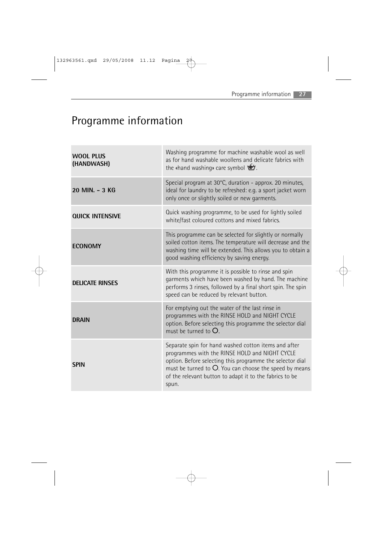# Programme information

| <b>WOOL PLUS</b><br>(HANDWASH) | Washing programme for machine washable wool as well<br>as for hand washable woollens and delicate fabrics with<br>the «hand washing» care symbol \`\'.                                                                                                                                               |
|--------------------------------|------------------------------------------------------------------------------------------------------------------------------------------------------------------------------------------------------------------------------------------------------------------------------------------------------|
| 20 MIN. - 3 KG                 | Special program at 30°C, duration - approx. 20 minutes,<br>ideal for laundry to be refreshed: e.g. a sport jacket worn<br>only once or slightly soiled or new garments.                                                                                                                              |
| <b>QUICK INTENSIVE</b>         | Quick washing programme, to be used for lightly soiled<br>white/fast coloured cottons and mixed fabrics.                                                                                                                                                                                             |
| <b>ECONOMY</b>                 | This programme can be selected for slightly or normally<br>soiled cotton items. The temperature will decrease and the<br>washing time will be extended. This allows you to obtain a<br>good washing efficiency by saving energy.                                                                     |
| <b>DELICATE RINSES</b>         | With this programme it is possible to rinse and spin<br>garments which have been washed by hand. The machine<br>performs 3 rinses, followed by a final short spin. The spin<br>speed can be reduced by relevant button.                                                                              |
| <b>DRAIN</b>                   | For emptying out the water of the last rinse in<br>programmes with the RINSE HOLD and NIGHT CYCLE<br>option. Before selecting this programme the selector dial<br>must be turned to $O$ .                                                                                                            |
| <b>SPIN</b>                    | Separate spin for hand washed cotton items and after<br>programmes with the RINSE HOLD and NIGHT CYCLE<br>option. Before selecting this programme the selector dial<br>must be turned to $O$ . You can choose the speed by means<br>of the relevant button to adapt it to the fabrics to be<br>spun. |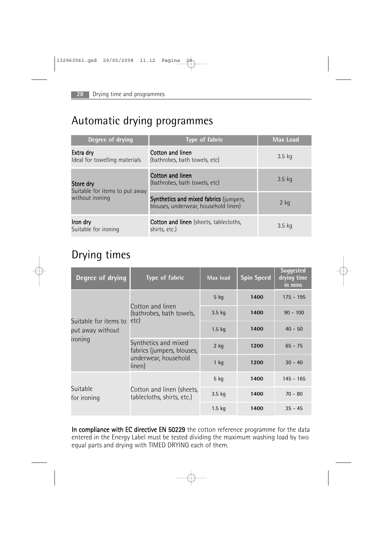## Automatic drying programmes

| Degree of drying                                               | <b>Type of fabric</b>                                                          | <b>Max Load</b> |
|----------------------------------------------------------------|--------------------------------------------------------------------------------|-----------------|
| Extra dry<br>Ideal for towelling materials                     | Cotton and linen<br>(bathrobes, bath towels, etc)                              | $3.5$ kg        |
| Store dry<br>Suitable for items to put away<br>without ironing | Cotton and linen<br>(bathrobes, bath towels, etc)                              | $3.5$ kg        |
|                                                                | Synthetics and mixed fabrics (jumpers,<br>blouses, underwear, household linen) | $2$ kg          |
| Iron dry<br>Suitable for ironing                               | <b>Cotton and linen</b> (sheets, tablecloths,<br>shirts, etc.)                 | $3.5$ kg        |

## Drying times

| Degree of drying                                     | <b>Type of fabric</b>                                                                | Max load | <b>Spin Speed</b> | <b>Suggested</b><br>drying time<br>in mins |
|------------------------------------------------------|--------------------------------------------------------------------------------------|----------|-------------------|--------------------------------------------|
| Suitable for items to<br>put away without<br>ironing | Cotton and linen<br>(bathrobes, bath towels,<br>etc)                                 | $5$ kg   | 1400              | $175 - 195$                                |
|                                                      |                                                                                      | $3.5$ kg | 1400              | $90 - 100$                                 |
|                                                      |                                                                                      | $1.5$ kg | 1400              | $40 - 50$                                  |
|                                                      | Synthetics and mixed<br>fabrics (jumpers, blouses,<br>underwear, household<br>linen) | $2$ kg   | 1200              | $65 - 75$                                  |
|                                                      |                                                                                      | $1$ kg   | 1200              | $30 - 40$                                  |
|                                                      |                                                                                      | $5$ kg   | 1400              | $145 - 165$                                |
| Suitable<br>for ironing                              | Cotton and linen (sheets,<br>tablecloths, shirts, etc.)                              | $3.5$ kg | 1400              | $70 - 80$                                  |
|                                                      |                                                                                      | $1.5$ kg | 1400              | $35 - 45$                                  |

In compliance with EC directive EN 50229 the cotton reference programme for the data entered in the Energy Label must be tested dividing the maximum washing load by two equal parts and drying with TIMED DRYING each of them.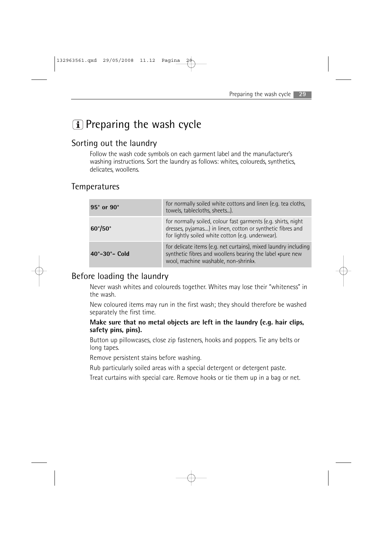## $\left| \mathbf{\hat{i}} \right|$  Preparing the wash cycle

### Sorting out the laundry

Follow the wash code symbols on each garment label and the manufacturer's washing instructions. Sort the laundry as follows: whites, coloureds, synthetics, delicates, woollens.

### Temperatures

| 95° or 90°                   | for normally soiled white cottons and linen (e.g. tea cloths,<br>towels, tablecloths, sheets).                                                                                   |
|------------------------------|----------------------------------------------------------------------------------------------------------------------------------------------------------------------------------|
| $60^{\circ}/50^{\circ}$      | for normally soiled, colour fast garments (e.g. shirts, night<br>dresses, pyjamas) in linen, cotton or synthetic fibres and<br>for lightly soiled white cotton (e.g. underwear). |
| $40^\circ - 30^\circ -$ Cold | for delicate items (e.g. net curtains), mixed laundry including<br>synthetic fibres and woollens bearing the label «pure new<br>wool, machine washable, non-shrink».             |

### Before loading the laundry

Never wash whites and coloureds together. Whites may lose their "whiteness" in the wash.

New coloured items may run in the first wash; they should therefore be washed separately the first time.

#### **Make sure that no metal objects are left in the laundry (e.g. hair clips, safety pins, pins).**

Button up pillowcases, close zip fasteners, hooks and poppers. Tie any belts or long tapes.

Remove persistent stains before washing.

Rub particularly soiled areas with a special detergent or detergent paste.

Treat curtains with special care. Remove hooks or tie them up in a bag or net.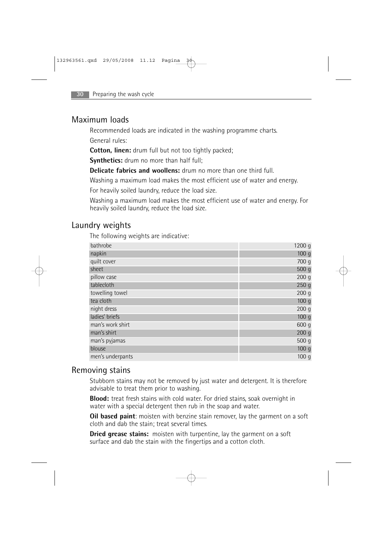### Maximum loads

Recommended loads are indicated in the washing programme charts. General rules:

**Cotton, linen:** drum full but not too tightly packed;

**Synthetics:** drum no more than half full;

**Delicate fabrics and woollens:** drum no more than one third full.

Washing a maximum load makes the most efficient use of water and energy.

For heavily soiled laundry, reduce the load size.

Washing a maximum load makes the most efficient use of water and energy. For heavily soiled laundry, reduce the load size.

### Laundry weights

The following weights are indicative:

| bathrobe         | 1200 g           |
|------------------|------------------|
| napkin           | 100 <sub>g</sub> |
| quilt cover      | 700 g            |
| sheet            | 500 g            |
| pillow case      | 200 <sub>g</sub> |
| tablecloth       | 250 <sub>g</sub> |
| towelling towel  | 200 <sub>g</sub> |
| tea cloth        | 100 <sub>g</sub> |
| night dress      | 200 <sub>g</sub> |
| ladies' briefs   | 100 <sub>g</sub> |
| man's work shirt | 600 g            |
| man's shirt      | 200 g            |
| man's pyjamas    | 500 g            |
| blouse           | 100 <sub>g</sub> |
| men's underpants | 100q             |

### Removing stains

Stubborn stains may not be removed by just water and detergent. It is therefore advisable to treat them prior to washing.

**Blood:** treat fresh stains with cold water. For dried stains, soak overnight in water with a special detergent then rub in the soap and water.

**Oil based paint:** moisten with benzine stain remover, lay the garment on a soft cloth and dab the stain; treat several times.

**Dried grease stains:** moisten with turpentine, lay the garment on a soft surface and dab the stain with the fingertips and a cotton cloth.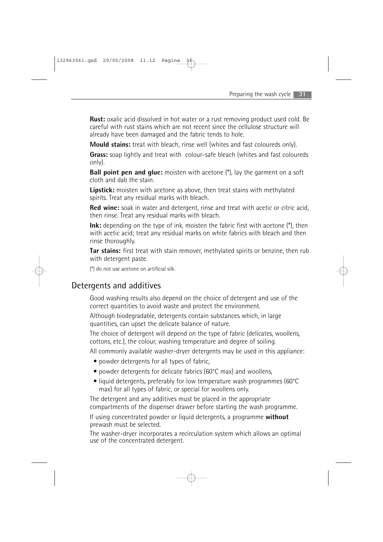**Rust:** oxalic acid dissolved in hot water or a rust removing product used cold. Be careful with rust stains which are not recent since the cellulose structure will already have been damaged and the fabric tends to hole.

**Mould stains:** treat with bleach, rinse well (whites and fast coloureds only).

**Grass:** soap lightly and treat with colour-safe bleach (whites and fast coloureds only).

**Ball point pen and glue:** moisten with acetone (\*), lay the garment on a soft cloth and dab the stain.

**Lipstick:** moisten with acetone as above, then treat stains with methylated spirits. Treat any residual marks with bleach.

**Red wine:** soak in water and detergent, rinse and treat with acetic or citric acid, then rinse. Treat any residual marks with bleach.

**Ink:** depending on the type of ink, moisten the fabric first with acetone (\*), then with acetic acid; treat any residual marks on white fabrics with bleach and then rinse thoroughly.

**Tar stains:** first treat with stain remover, methylated spirits or benzine, then rub with detergent paste.

(\*) do not use acetone on artificial silk.

### Detergents and additives

Good washing results also depend on the choice of detergent and use of the correct quantities to avoid waste and protect the environment.

Although biodegradable, detergents contain substances which, in large quantities, can upset the delicate balance of nature.

The choice of detergent will depend on the type of fabric (delicates, woollens, cottons, etc.), the colour, washing temperature and degree of soiling.

All commonly available washer-dryer detergents may be used in this appliance:

- powder detergents for all types of fabric,
- powder detergents for delicate fabrics (60°C max) and woollens,
- liquid detergents, preferably for low temperature wash programmes (60°C) max) for all types of fabric, or special for woollens only.

The detergent and any additives must be placed in the appropriate compartments of the dispenser drawer before starting the wash programme.

If using concentrated powder or liquid detergents, a programme **without** prewash must be selected.

The washer-dryer incorporates a recirculation system which allows an optimal use of the concentrated detergent.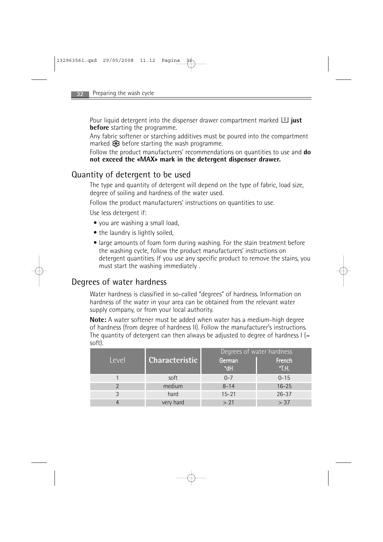**Pour liquid detergent into the dispenser drawer compartment marked <b>U** just **before** starting the programme.

Any fabric softener or starching additives must be poured into the compartment marked  $\bigotimes$  before starting the wash programme.

Follow the product manufacturers' recommendations on quantities to use and **do not exceed the «MAX» mark in the detergent dispenser drawer.**

### Quantity of detergent to be used

The type and quantity of detergent will depend on the type of fabric, load size, degree of soiling and hardness of the water used.

Follow the product manufacturers' instructions on quantities to use.

Use less detergent if:

- you are washing a small load,
- the laundry is lightly soiled.
- large amounts of foam form during washing. For the stain treatment before the washing cycle, follow the product manufacturers' instructions on detergent quantities. If you use any specific product to remove the stains, you must start the washing immediately .

### Degrees of water hardness

Water hardness is classified in so-called "degrees" of hardness. Information on hardness of the water in your area can be obtained from the relevant water supply company, or from your local authority.

**Note:** A water softener must be added when water has a medium-high degree of hardness (from degree of hardness II). Follow the manufacturer's instructions. The quantity of detergent can then always be adjusted to degree of hardness  $I =$ soft).

|       |                       | Degrees of water hardness |                 |
|-------|-----------------------|---------------------------|-----------------|
| Level | <b>Characteristic</b> | German<br>°dH             | French<br>°T.H. |
|       | soft                  | $0 - 7$                   | $0 - 15$        |
|       | medium                | $8 - 14$                  | $16 - 25$       |
|       | hard                  | $15 - 21$                 | $26 - 37$       |
|       | very hard             | > 21                      | > 37            |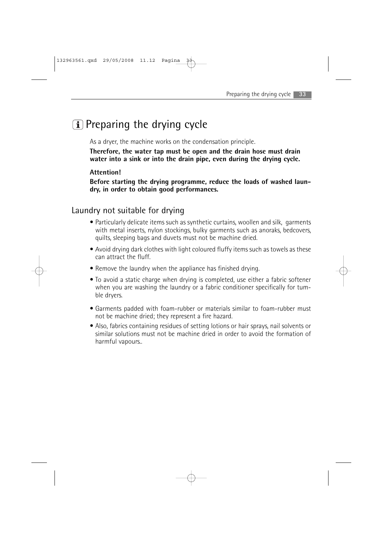## $\left| \mathbf{\hat{i}} \right|$  Preparing the drying cycle

As a dryer, the machine works on the condensation principle.

**Therefore, the water tap must be open and the drain hose must drain water into a sink or into the drain pipe, even during the drying cycle.**

#### **Attention!**

**Before starting the drying programme, reduce the loads of washed laundry, in order to obtain good performances.**

### Laundry not suitable for drying

- Particularly delicate items such as synthetic curtains, woollen and silk, garments with metal inserts, nylon stockings, bulky garments such as anoraks, bedcovers, quilts, sleeping bags and duvets must not be machine dried.
- Avoid drying dark clothes with light coloured fluffy items such as towels as these can attract the fluff.
- Remove the laundry when the appliance has finished drying.
- To avoid a static charge when drying is completed, use either a fabric softener when you are washing the laundry or a fabric conditioner specifically for tumble dryers.
- Garments padded with foam-rubber or materials similar to foam-rubber must not be machine dried; they represent a fire hazard.
- Also, fabrics containing residues of setting lotions or hair sprays, nail solvents or similar solutions must not be machine dried in order to avoid the formation of harmful vapours..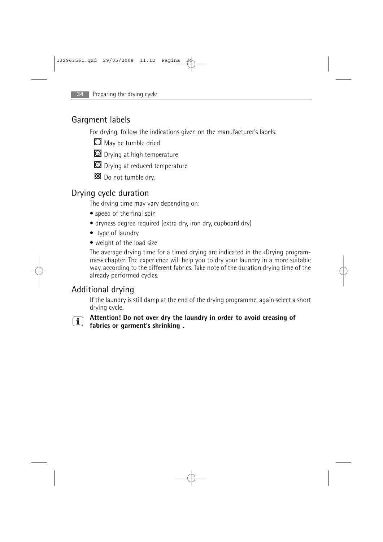### Gargment labels

For drying, follow the indications given on the manufacturer's labels:



- **O** Drying at high temperature
- $\Omega$  Drying at reduced temperature
- Do not tumble dry.

### Drying cycle duration

The drying time may vary depending on:

- speed of the final spin
- dryness degree required (extra dry, iron dry, cupboard dry)
- type of laundry
- weight of the load size

The average drying time for a timed drying are indicated in the «Drying programmes» chapter. The experience will help you to dry your laundry in a more suitable way, according to the different fabrics. Take note of the duration drying time of the already performed cycles.

### Additional drying

If the laundry is still damp at the end of the drying programme, again select a short drying cycle.

**Attention! Do not over dry the laundry in order to avoid creasing of**  $\boxed{\mathbf{i}}$ **fabrics or garment's shrinking .**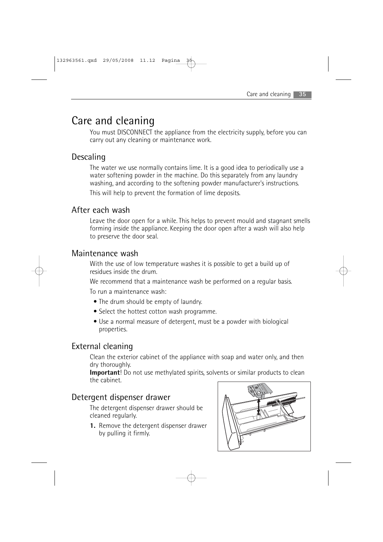## Care and cleaning

You must DISCONNECT the appliance from the electricity supply, before you can carry out any cleaning or maintenance work.

## Descaling

The water we use normally contains lime. It is a good idea to periodically use a water softening powder in the machine. Do this separately from any laundry washing, and according to the softening powder manufacturer's instructions. This will help to prevent the formation of lime deposits.

### After each wash

Leave the door open for a while. This helps to prevent mould and stagnant smells forming inside the appliance. Keeping the door open after a wash will also help to preserve the door seal.

### Maintenance wash

With the use of low temperature washes it is possible to get a build up of residues inside the drum.

We recommend that a maintenance wash be performed on a regular basis.

To run a maintenance wash:

- The drum should be empty of laundry.
- Select the hottest cotton wash programme.
- Use a normal measure of detergent, must be a powder with biological properties.

### External cleaning

Clean the exterior cabinet of the appliance with soap and water only, and then dry thoroughly.

**Important**! Do not use methylated spirits, solvents or similar products to clean the cabinet.

### Detergent dispenser drawer

The detergent dispenser drawer should be cleaned regularly.

**1.** Remove the detergent dispenser drawer by pulling it firmly.

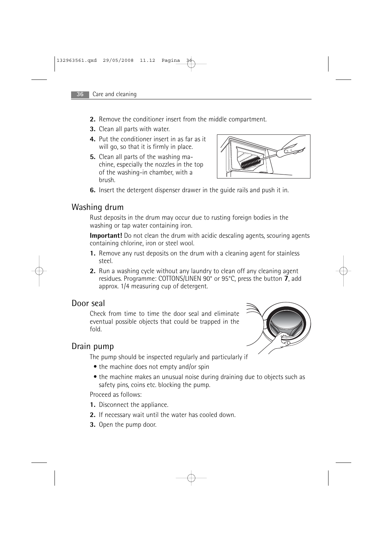- **2.** Remove the conditioner insert from the middle compartment.
- **3.** Clean all parts with water.
- **4.** Put the conditioner insert in as far as it will go, so that it is firmly in place.
- **5.** Clean all parts of the washing machine, especially the nozzles in the top of the washing-in chamber, with a brush.



**6.** Insert the detergent dispenser drawer in the guide rails and push it in.

### Washing drum

Rust deposits in the drum may occur due to rusting foreign bodies in the washing or tap water containing iron.

**Important!** Do not clean the drum with acidic descaling agents, scouring agents containing chlorine, iron or steel wool.

- **1.** Remove any rust deposits on the drum with a cleaning agent for stainless steel.
- **2.** Run a washing cycle without any laundry to clean off any cleaning agent residues. Programme: COTTONS/LINEN 90° or 95°C, press the button **7**, add approx. 1/4 measuring cup of detergent.

### Door seal

Check from time to time the door seal and eliminate eventual possible objects that could be trapped in the fold.

### Drain pump

The pump should be inspected regularly and particularly if

- the machine does not empty and/or spin
- the machine makes an unusual noise during draining due to objects such as safety pins, coins etc. blocking the pump.

Proceed as follows:

- **1.** Disconnect the appliance.
- **2.** If necessary wait until the water has cooled down.
- **3.** Open the pump door.

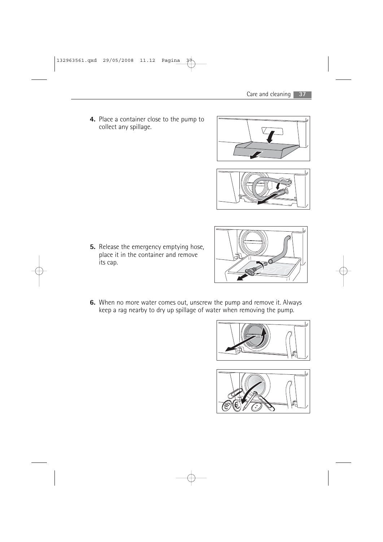**4.** Place a container close to the pump to collect any spillage.





**5.** Release the emergency emptying hose, place it in the container and remove its cap.



**6.** When no more water comes out, unscrew the pump and remove it. Always keep a rag nearby to dry up spillage of water when removing the pump.



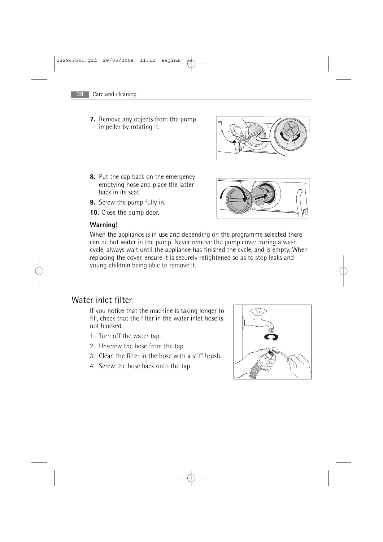**7.** Remove any objects from the pump impeller by rotating it.



- **8.** Put the cap back on the emergency emptying hose and place the latter back in its seat.
- **9.** Screw the pump fully in.
- **10.** Close the pump door.



When the appliance is in use and depending on the programme selected there can be hot water in the pump. Never remove the pump cover during a wash cycle, always wait until the appliance has finished the cycle, and is empty. When replacing the cover, ensure it is securely retightened so as to stop leaks and young children being able to remove it.

### Water inlet filter

If you notice that the machine is taking longer to fill, check that the filter in the water inlet hose is not blocked.

- 1. Turn off the water tap.
- 2. Unscrew the hose from the tap.
- 3. Clean the filter in the hose with a stiff brush.
- 4. Screw the hose back onto the tap.



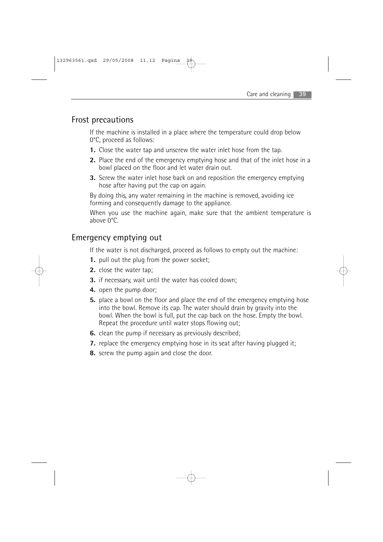### Frost precautions

If the machine is installed in a place where the temperature could drop below 0°C, proceed as follows:

- **1.** Close the water tap and unscrew the water inlet hose from the tap.
- **2.** Place the end of the emergency emptying hose and that of the inlet hose in a bowl placed on the floor and let water drain out.
- **3.** Screw the water inlet hose back on and reposition the emergency emptying hose after having put the cap on again.

By doing this, any water remaining in the machine is removed, avoiding ice forming and consequently damage to the appliance.

When you use the machine again, make sure that the ambient temperature is above 0°C.

### Emergency emptying out

If the water is not discharged, proceed as follows to empty out the machine:

- **1.** pull out the plug from the power socket;
- **2.** close the water tap;
- **3.** if necessary, wait until the water has cooled down;
- **4.** open the pump door;
- **5.** place a bowl on the floor and place the end of the emergency emptying hose into the bowl. Remove its cap. The water should drain by gravity into the bowl. When the bowl is full, put the cap back on the hose. Empty the bowl. Repeat the procedure until water stops flowing out;
- **6.** clean the pump if necessary as previously described;
- **7.** replace the emergency emptying hose in its seat after having plugged it:
- **8.** screw the pump again and close the door.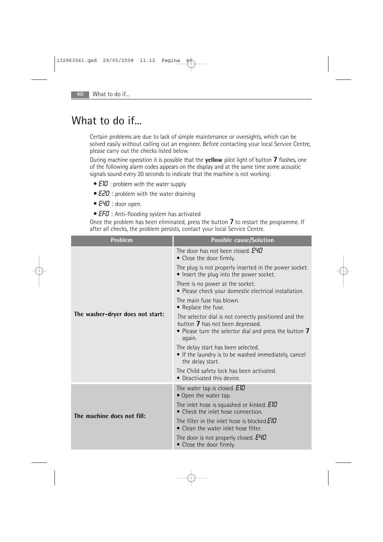## What to do if...

Certain problems are due to lack of simple maintenance or oversights, which can be solved easily without calling out an engineer. Before contacting your local Service Centre, please carry out the checks listed below.

During machine operation it is possible that the **yellow** pilot light of button **7** flashes, one of the following alarm codes appears on the display and at the same time some acoustic signals sound every 20 seconds to indicate that the machine is not working:

- $E10$  : problem with the water supply
- **E20** : problem with the water draining
- E40 : door open.
- **EFD**: Anti-flooding system has activated

Once the problem has been eliminated, press the button 7 to restart the programme. If after all checks, the problem persists, contact your local Service Centre.

| Problem                          | <b>Possible cause/Solution</b>                                                                                                                                |
|----------------------------------|---------------------------------------------------------------------------------------------------------------------------------------------------------------|
| The washer-dryer does not start: | The door has not been closed. E40<br>• Close the door firmly.                                                                                                 |
|                                  | The plug is not properly inserted in the power socket.<br>• Insert the plug into the power socket.                                                            |
|                                  | There is no power at the socket.<br>• Please check your domestic electrical installation.                                                                     |
|                                  | The main fuse has blown.<br>• Replace the fuse.                                                                                                               |
|                                  | The selector dial is not correctly positioned and the<br>button 7 has not been depressed.<br>• Please turn the selector dial and press the button 7<br>again. |
|                                  | The delay start has been selected.<br>• If the laundry is to be washed immediately, cancel<br>the delay start.                                                |
|                                  | The Child safety lock has been activated.<br>• Deactivated this device.                                                                                       |
| The machine does not fill:       | The water tap is closed. EID<br>• Open the water tap.                                                                                                         |
|                                  | The inlet hose is squashed or kinked. <b>EID</b><br>• Check the inlet hose connection.                                                                        |
|                                  | The filter in the inlet hose is blocked.EID<br>• Clean the water inlet hose filter.                                                                           |
|                                  | The door is not properly closed. <b>EYD</b><br>• Close the door firmly.                                                                                       |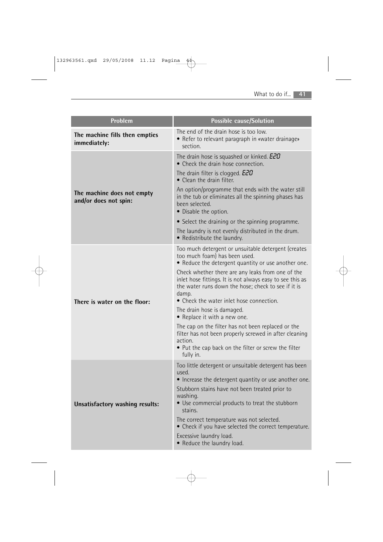| Problem                                             | <b>Possible cause/Solution</b>                                                                                                                                                                                                                                                                                                                                                                                                                                                                                                                                                                                                          |  |
|-----------------------------------------------------|-----------------------------------------------------------------------------------------------------------------------------------------------------------------------------------------------------------------------------------------------------------------------------------------------------------------------------------------------------------------------------------------------------------------------------------------------------------------------------------------------------------------------------------------------------------------------------------------------------------------------------------------|--|
| The machine fills then empties<br>immediately:      | The end of the drain hose is too low.<br>• Refer to relevant paragraph in «water drainage»<br>section.                                                                                                                                                                                                                                                                                                                                                                                                                                                                                                                                  |  |
| The machine does not empty<br>and/or does not spin: | The drain hose is squashed or kinked. E20<br>• Check the drain hose connection.<br>The drain filter is clogged. <b>E2D</b><br>$\bullet$ Clean the drain filter.<br>An option/programme that ends with the water still<br>in the tub or eliminates all the spinning phases has<br>been selected.<br>• Disable the option.<br>• Select the draining or the spinning programme.<br>The laundry is not evenly distributed in the drum.<br>• Redistribute the laundry.                                                                                                                                                                       |  |
| There is water on the floor:                        | Too much detergent or unsuitable detergent (creates<br>too much foam) has been used.<br>• Reduce the detergent quantity or use another one.<br>Check whether there are any leaks from one of the<br>inlet hose fittings. It is not always easy to see this as<br>the water runs down the hose; check to see if it is<br>damp.<br>• Check the water inlet hose connection.<br>The drain hose is damaged.<br>• Replace it with a new one.<br>The cap on the filter has not been replaced or the<br>filter has not been properly screwed in after cleaning<br>action.<br>• Put the cap back on the filter or screw the filter<br>fully in. |  |
| Unsatisfactory washing results:                     | Too little detergent or unsuitable detergent has been<br>used.<br>• Increase the detergent quantity or use another one.<br>Stubborn stains have not been treated prior to<br>washing.<br>• Use commercial products to treat the stubborn<br>stains.<br>The correct temperature was not selected.<br>• Check if you have selected the correct temperature.<br>Excessive laundry load.<br>• Reduce the laundry load.                                                                                                                                                                                                                      |  |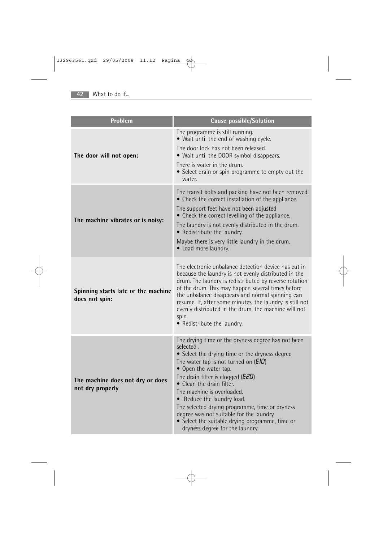| Problem                                               | Cause possible/Solution                                                                                                                                                                                                                                                                                                                                                                                                                                                                                              |
|-------------------------------------------------------|----------------------------------------------------------------------------------------------------------------------------------------------------------------------------------------------------------------------------------------------------------------------------------------------------------------------------------------------------------------------------------------------------------------------------------------------------------------------------------------------------------------------|
| The door will not open:                               | The programme is still running.<br>• Wait until the end of washing cycle.<br>The door lock has not been released.<br>• Wait until the DOOR symbol disappears.<br>There is water in the drum.<br>• Select drain or spin programme to empty out the<br>water.                                                                                                                                                                                                                                                          |
| The machine vibrates or is noisy:                     | The transit bolts and packing have not been removed.<br>• Check the correct installation of the appliance.<br>The support feet have not been adjusted<br>• Check the correct levelling of the appliance.<br>The laundry is not evenly distributed in the drum.<br>• Redistribute the laundry.<br>Maybe there is very little laundry in the drum.<br>• Load more laundry.                                                                                                                                             |
| Spinning starts late or the machine<br>does not spin: | The electronic unbalance detection device has cut in<br>because the laundry is not evenly distributed in the<br>drum. The laundry is redistributed by reverse rotation<br>of the drum. This may happen several times before<br>the unbalance disappears and normal spinning can<br>resume. If, after some minutes, the laundry is still not<br>evenly distributed in the drum, the machine will not<br>spin.<br>• Redistribute the laundry.                                                                          |
| The machine does not dry or does<br>not dry properly  | The drying time or the dryness degree has not been<br>selected.<br>• Select the drying time or the dryness degree<br>The water tap is not turned on $(E10)$<br>• Open the water tap.<br>The drain filter is clogged ( $E20$ )<br>• Clean the drain filter.<br>The machine is overloaded.<br>Reduce the laundry load.<br>$\bullet$<br>The selected drying programme, time or dryness<br>degree was not suitable for the laundry<br>• Select the suitable drying programme, time or<br>dryness degree for the laundry. |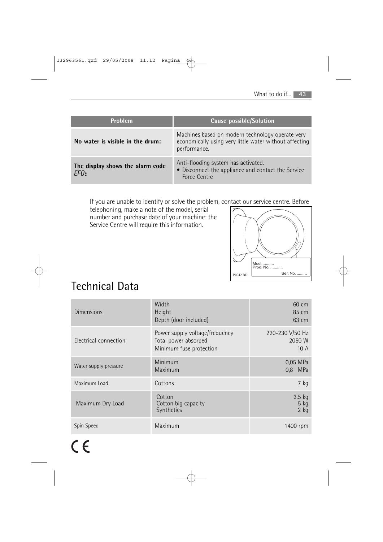| <b>Problem</b>                           | Cause possible/Solution                                                                                                    |
|------------------------------------------|----------------------------------------------------------------------------------------------------------------------------|
| No water is visible in the drum:         | Machines based on modern technology operate very<br>economically using very little water without affecting<br>performance. |
| The display shows the alarm code<br>FFN: | Anti-flooding system has activated.<br>• Disconnect the appliance and contact the Service<br>Force Centre                  |

If you are unable to identify or solve the problem, contact our service centre. Before

telephoning, make a note of the model, serial number and purchase date of your machine: the Service Centre will require this information.



## Technical Data

| Dimensions            | Width<br>Height<br>Depth (door included)                                          | 60 cm<br>85 cm<br>63 cm          |
|-----------------------|-----------------------------------------------------------------------------------|----------------------------------|
| Electrical connection | Power supply voltage/frequency<br>Total power absorbed<br>Minimum fuse protection | 220-230 V/50 Hz<br>2050 W<br>10A |
| Water supply pressure | Minimum<br>Maximum                                                                | 0,05 MPa<br>MPa<br>0.8           |
| Maximum Load          | Cottons                                                                           | 7 kg                             |
| Maximum Dry Load      | Cotton<br>Cotton big capacity<br>Synthetics                                       | 3.5 kg<br>$5$ kg<br>$2$ kg       |
| Spin Speed            | Maximum                                                                           | 1400 rpm                         |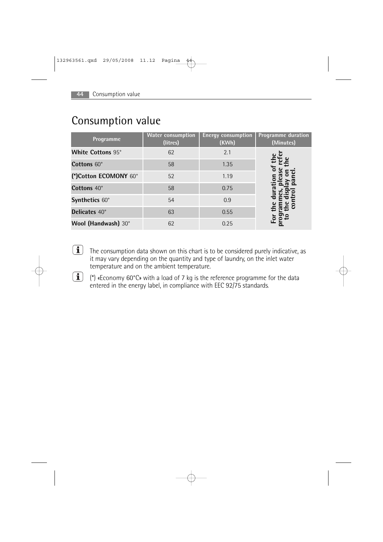| Consumption value |  |
|-------------------|--|
|-------------------|--|

| Programme                | <b>Water consumption</b><br>(litres) | <b>Energy consumption</b><br>(KWh) | <b>Programme duration</b><br>(Minutes) |
|--------------------------|--------------------------------------|------------------------------------|----------------------------------------|
| <b>White Cottons 95°</b> | 62                                   | 2.1                                |                                        |
| Cottons 60°              | 58                                   | 1.35                               |                                        |
| (*)Cotton ECOMONY 60°    | 52                                   | 1.19                               |                                        |
| Cottons 40°              | 58                                   | 0.75                               |                                        |
| Synthetics 60°           | 54                                   | 0.9                                |                                        |
| <b>Delicates</b> 40°     | 63                                   | 0.55                               |                                        |
| Wool (Handwash) 30°      | 62                                   | 0.25                               |                                        |

- $\boxed{\mathbf{1}}$ The consumption data shown on this chart is to be considered purely indicative, as it may vary depending on the quantity and type of laundry, on the inlet water temperature and on the ambient temperature.
- $(i)$  (\*) «Economy 60°C» with a load of 7 kg is the reference programme for the data entered in the energy label, in compliance with EEC 92/75 standards.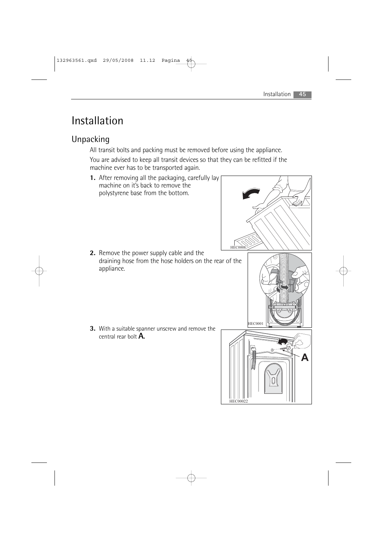## Installation

## Unpacking

All transit bolts and packing must be removed before using the appliance.

You are advised to keep all transit devices so that they can be refitted if the machine ever has to be transported again.

**1.** After removing all the packaging, carefully lay machine on it's back to remove the polystyrene base from the bottom.

**2.** Remove the power supply cable and the draining hose from the hose holders on the rear of the appliance.

**3.** With a suitable spanner unscrew and remove the central rear bolt **A.**

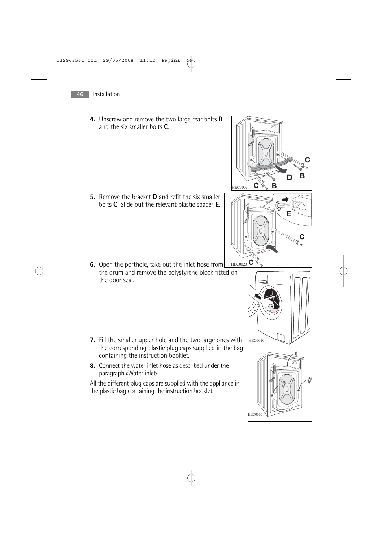**4.** Unscrew and remove the two large rear bolts **B** and the six smaller bolts **C**. **5.** Remove the bracket **D** and refit the six smaller bolts **C**. Slide out the relevant plastic spacer **E. 6.** Open the porthole, take out the inlet hose from the drum and remove the polystyrene block fitted on the door seal. **7.** Fill the smaller upper hole and the two large ones with the corresponding plastic plug caps supplied in the bag containing the instruction booklet. **8.** Connect the water inlet hose as described under the paragraph «Water inlet». All the different plug caps are supplied with the appliance in the plastic bag containing the instruction booklet.  **B** D HE C0003 **B HEC0023** C  E HEC0010 hе C0005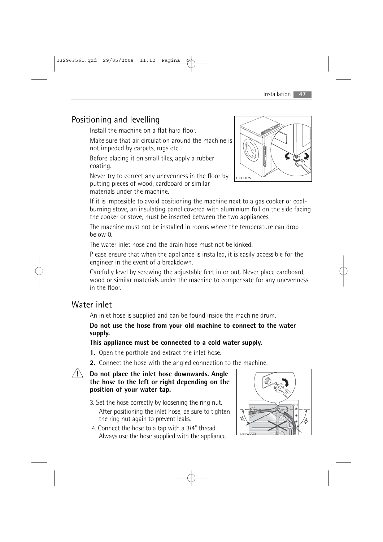## Positioning and levelling

Install the machine on a flat hard floor.

Make sure that air circulation around the machine is not impeded by carpets, rugs etc.

Before placing it on small tiles, apply a rubber coating.

Never try to correct any unevenness in the floor by putting pieces of wood, cardboard or similar materials under the machine.



If it is impossible to avoid positioning the machine next to a gas cooker or coalburning stove, an insulating panel covered with aluminium foil on the side facing the cooker or stove, must be inserted between the two appliances.

The machine must not be installed in rooms where the temperature can drop below 0.

The water inlet hose and the drain hose must not be kinked.

Please ensure that when the appliance is installed, it is easily accessible for the engineer in the event of a breakdown.

Carefully level by screwing the adjustable feet in or out. Never place cardboard, wood or similar materials under the machine to compensate for any unevenness in the floor.

## Water inlet

An inlet hose is supplied and can be found inside the machine drum.

#### **Do not use the hose from your old machine to connect to the water supply.**

### **This appliance must be connected to a cold water supply.**

- **1.** Open the porthole and extract the inlet hose.
- **2.** Connect the hose with the angled connection to the machine.



#### **Do not place the inlet hose downwards. Angle the hose to the left or right depending on the position of your water tap.**

- 3. Set the hose correctly by loosening the ring nut. After positioning the inlet hose, be sure to tighten the ring nut again to prevent leaks.
- 4. Connect the hose to a tap with a 3/4" thread. Always use the hose supplied with the appliance.

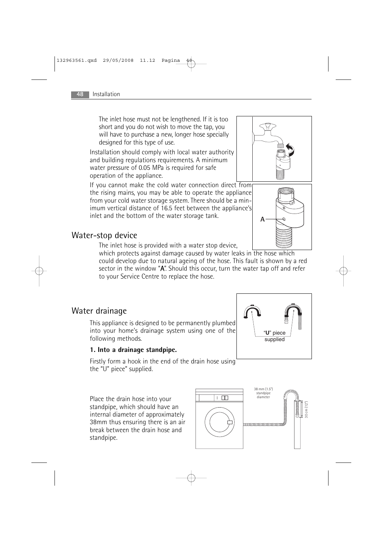The inlet hose must not be lengthened. If it is too short and you do not wish to move the tap, you will have to purchase a new, longer hose specially designed for this type of use.

Installation should comply with local water authority and building regulations requirements. A minimum water pressure of 0.05 MPa is required for safe operation of the appliance.

If you cannot make the cold water connection direct from the rising mains, you may be able to operate the appliance from your cold water storage system. There should be a minimum vertical distance of 16.5 feet between the appliance's inlet and the bottom of the water storage tank.

### Water-stop device

The inlet hose is provided with a water stop device,

which protects against damage caused by water leaks in the hose which could develop due to natural ageing of the hose. This fault is shown by a red sector in the window "A". Should this occur, turn the water tap off and refer to your Service Centre to replace the hose.

### Water drainage

This appliance is designed to be permanently plumbed into your home's drainage system using one of the following methods.

#### **1. Into a drainage standpipe.**

Firstly form a hook in the end of the drain hose using the "U" piece" supplied.

Place the drain hose into your standpipe, which should have an internal diameter of approximately 38mm thus ensuring there is an air break between the drain hose and standpipe.





"**U**" piece supplied



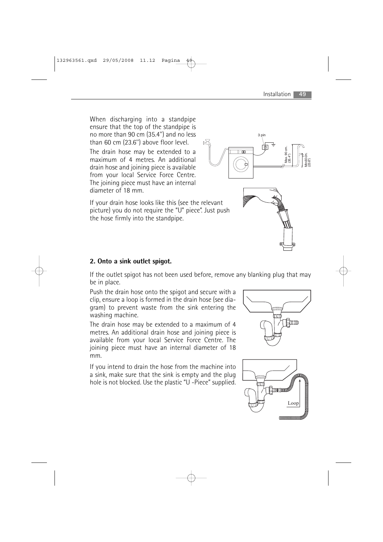When discharging into a standpipe ensure that the top of the standpipe is no more than 90 cm (35.4'') and no less than 60 cm (23.6'') above floor level.

The drain hose may be extended to a maximum of 4 metres. An additional drain hose and joining piece is available from your local Service Force Centre. The joining piece must have an internal diameter of 18 mm.

If your drain hose looks like this (see the relevant picture) you do not require the "U" piece". Just push the hose firmly into the standpipe.

#### **2. Onto a sink outlet spigot.**

If the outlet spigot has not been used before, remove any blanking plug that may be in place.

Push the drain hose onto the spigot and secure with a clip, ensure a loop is formed in the drain hose (see diagram) to prevent waste from the sink entering the washing machine.

The drain hose may be extended to a maximum of 4 metres. An additional drain hose and joining piece is available from your local Service Force Centre. The joining piece must have an internal diameter of 18 mm.

If you intend to drain the hose from the machine into a sink, make sure that the sink is empty and the plug hole is not blocked. Use the plastic "U -Piece" supplied.





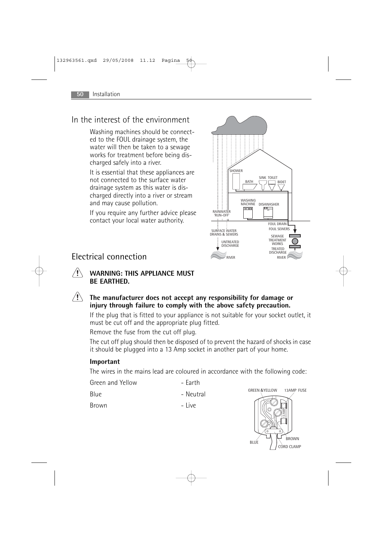### In the interest of the environment

Washing machines should be connected to the FOUL drainage system, the water will then be taken to a sewage works for treatment before being discharged safely into a river.

It is essential that these appliances are not connected to the surface water drainage system as this water is discharged directly into a river or stream and may cause pollution.

If you require any further advice please contact your local water authority.



### Electrical connection

- **WARNING: THIS APPLIANCE MUST BE EARTHED.**
- $\langle \mathbf{l} \rangle$ **The manufacturer does not accept any responsibility for damage or injury through failure to comply with the above safety precaution.**

If the plug that is fitted to your appliance is not suitable for your socket outlet, it must be cut off and the appropriate plug fitted.

Remove the fuse from the cut off plug.

The cut off plug should then be disposed of to prevent the hazard of shocks in case it should be plugged into a 13 Amp socket in another part of your home.

#### **Important**

The wires in the mains lead are coloured in accordance with the following code:

| Green and Yellow | - Earth   |
|------------------|-----------|
| -Blue            | - Neutral |
| Brown            | – Live    |

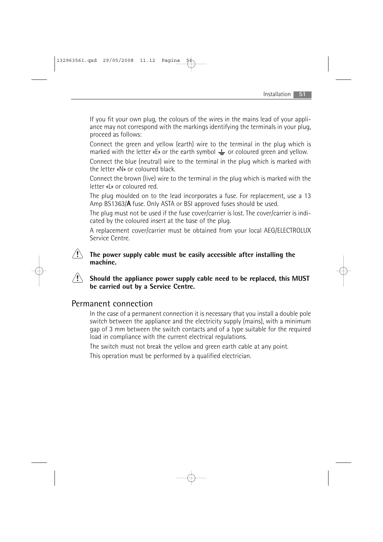If you fit your own plug, the colours of the wires in the mains lead of your appliance may not correspond with the markings identifying the terminals in your plug, proceed as follows:

Connect the green and yellow (earth) wire to the terminal in the plug which is marked with the letter «E» or the earth symbol  $\frac{1}{x}$  or coloured green and yellow.

Connect the blue (neutral) wire to the terminal in the plug which is marked with the letter «N» or coloured black.

Connect the brown (live) wire to the terminal in the plug which is marked with the letter «L» or coloured red.

The plug moulded on to the lead incorporates a fuse. For replacement, use a 13 Amp BS1363/A fuse. Only ASTA or BSI approved fuses should be used.

The plug must not be used if the fuse cover/carrier is lost. The cover/carrier is indicated by the coloured insert at the base of the plug.

A replacement cover/carrier must be obtained from your local AEG/ELECTROLUX Service Centre.

#### **The power supply cable must be easily accessible after installing the machine.**

#### $\langle \mathbf{l} \rangle$ **Should the appliance power supply cable need to be replaced, this MUST be carried out by a Service Centre.**

### Permanent connection

In the case of a permanent connection it is necessary that you install a double pole switch between the appliance and the electricity supply (mains), with a minimum gap of 3 mm between the switch contacts and of a type suitable for the required load in compliance with the current electrical regulations.

The switch must not break the yellow and green earth cable at any point.

This operation must be performed by a qualified electrician.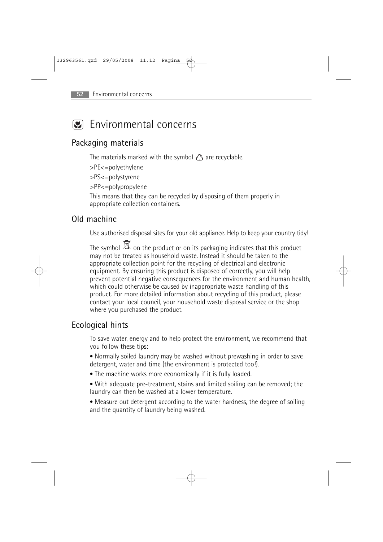## **Environmental concerns**

### Packaging materials

The materials marked with the symbol  $\hat{\Delta}$  are recyclable.

>PE<=polyethylene

>PS<=polystyrene

>PP<=polypropylene

This means that they can be recycled by disposing of them properly in appropriate collection containers.

### Old machine

Use authorised disposal sites for your old appliance. Help to keep your country tidy!

The symbol  $\overline{\mathbb{X}}$  on the product or on its packaging indicates that this product may not be treated as household waste. Instead it should be taken to the appropriate collection point for the recycling of electrical and electronic equipment. By ensuring this product is disposed of correctly, you will help prevent potential negative consequences for the environment and human health, which could otherwise be caused by inappropriate waste handling of this product. For more detailed information about recycling of this product, please contact your local council, your household waste disposal service or the shop where you purchased the product.

### Ecological hints

To save water, energy and to help protect the environment, we recommend that you follow these tips:

• Normally soiled laundry may be washed without prewashing in order to save detergent, water and time (the environment is protected too!).

- The machine works more economically if it is fully loaded.
- With adequate pre-treatment, stains and limited soiling can be removed; the laundry can then be washed at a lower temperature.

• Measure out detergent according to the water hardness, the degree of soiling and the quantity of laundry being washed.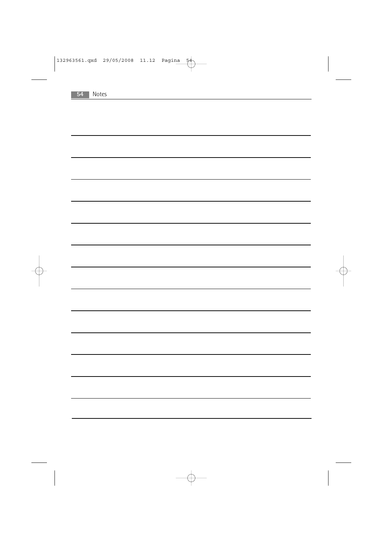| 54 | Notes |
|----|-------|
|    |       |
|    |       |
|    |       |
|    |       |
|    |       |
|    |       |
|    |       |
|    |       |
|    |       |
|    |       |
|    |       |
|    |       |
|    |       |
|    |       |
|    |       |
|    |       |
|    |       |
|    |       |
|    |       |
|    |       |
|    |       |
|    |       |
|    |       |
|    |       |
|    |       |
|    |       |
|    |       |
|    |       |
|    |       |
|    |       |
|    |       |
|    |       |
|    |       |
|    |       |
|    |       |
|    |       |
|    |       |
|    |       |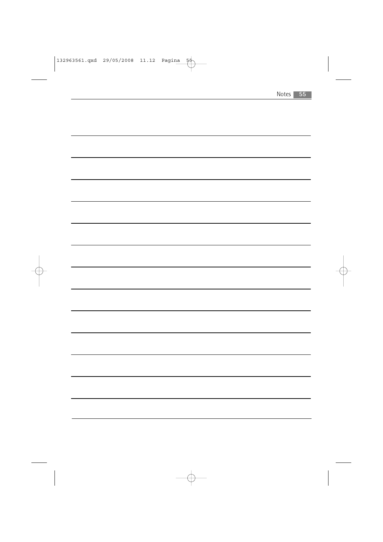| Notes |  |
|-------|--|
|-------|--|